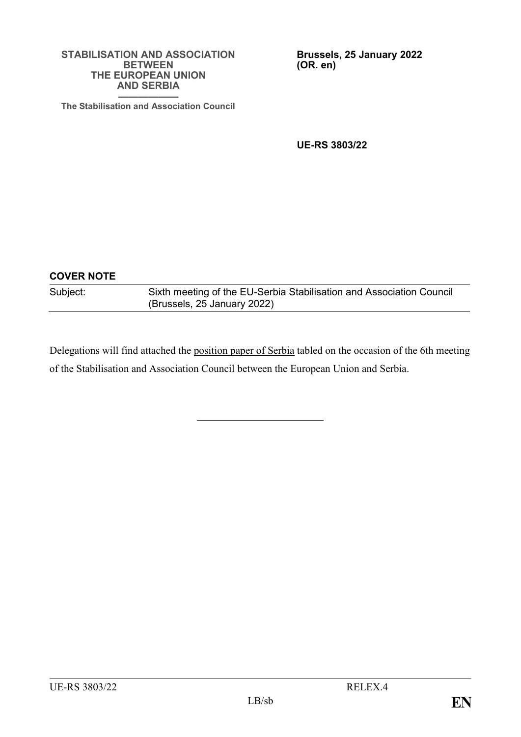#### **STABILISATION AND ASSOCIATION BETWEEN THE EUROPEAN UNION AND SERBIA ——————**

**Brussels, 25 January 2022 (OR. en)**

**The Stabilisation and Association Council**

**UE-RS 3803/22**

| <b>COVER NOTE</b> |                                                                                                     |
|-------------------|-----------------------------------------------------------------------------------------------------|
| Subject:          | Sixth meeting of the EU-Serbia Stabilisation and Association Council<br>(Brussels, 25 January 2022) |

Delegations will find attached the position paper of Serbia tabled on the occasion of the 6th meeting of the Stabilisation and Association Council between the European Union and Serbia.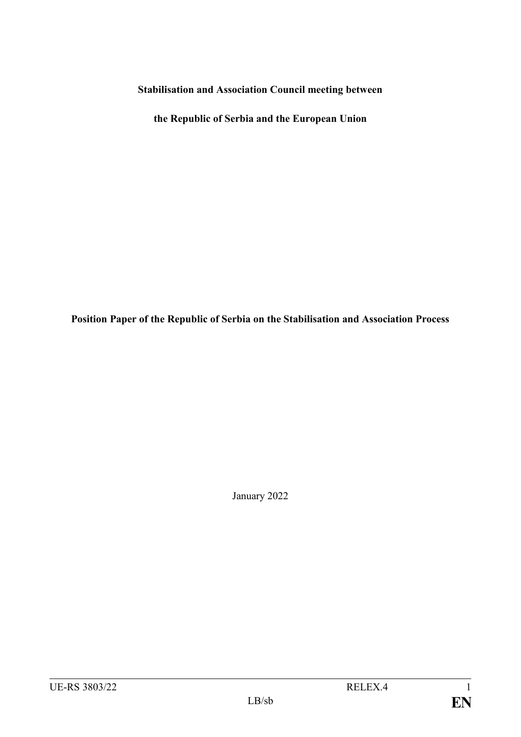**Stabilisation and Association Council meeting between** 

**the Republic of Serbia and the European Union**

**Position Paper of the Republic of Serbia on the Stabilisation and Association Process**

January 2022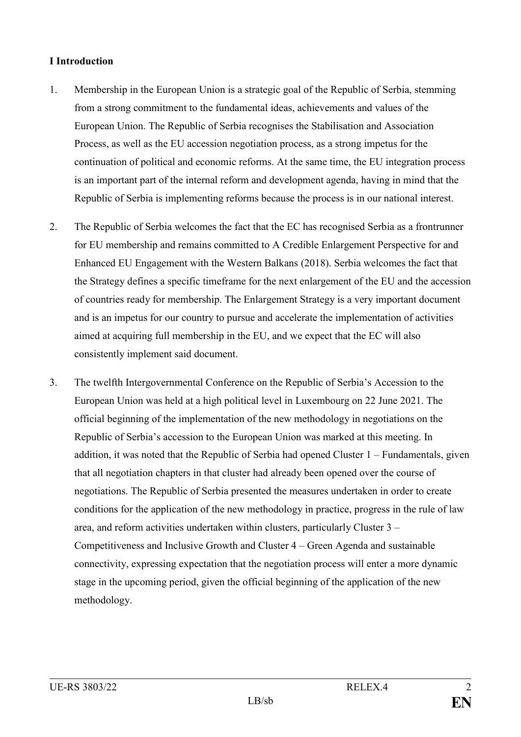# **I Introduction**

- 1. Membership in the European Union is a strategic goal of the Republic of Serbia, stemming from a strong commitment to the fundamental ideas, achievements and values of the European Union. The Republic of Serbia recognises the Stabilisation and Association Process, as well as the EU accession negotiation process, as a strong impetus for the continuation of political and economic reforms. At the same time, the EU integration process is an important part of the internal reform and development agenda, having in mind that the Republic of Serbia is implementing reforms because the process is in our national interest.
- 2. The Republic of Serbia welcomes the fact that the EC has recognised Serbia as a frontrunner for EU membership and remains committed to A Credible Enlargement Perspective for and Enhanced EU Engagement with the Western Balkans (2018). Serbia welcomes the fact that the Strategy defines a specific timeframe for the next enlargement of the EU and the accession of countries ready for membership. The Enlargement Strategy is a very important document and is an impetus for our country to pursue and accelerate the implementation of activities aimed at acquiring full membership in the EU, and we expect that the EC will also consistently implement said document.
- 3. The twelfth Intergovernmental Conference on the Republic of Serbia's Accession to the European Union was held at a high political level in Luxembourg on 22 June 2021. The official beginning of the implementation of the new methodology in negotiations on the Republic of Serbia's accession to the European Union was marked at this meeting. In addition, it was noted that the Republic of Serbia had opened Cluster 1 – Fundamentals, given that all negotiation chapters in that cluster had already been opened over the course of negotiations. The Republic of Serbia presented the measures undertaken in order to create conditions for the application of the new methodology in practice, progress in the rule of law area, and reform activities undertaken within clusters, particularly Cluster 3 – Competitiveness and Inclusive Growth and Cluster 4 – Green Agenda and sustainable connectivity, expressing expectation that the negotiation process will enter a more dynamic stage in the upcoming period, given the official beginning of the application of the new methodology.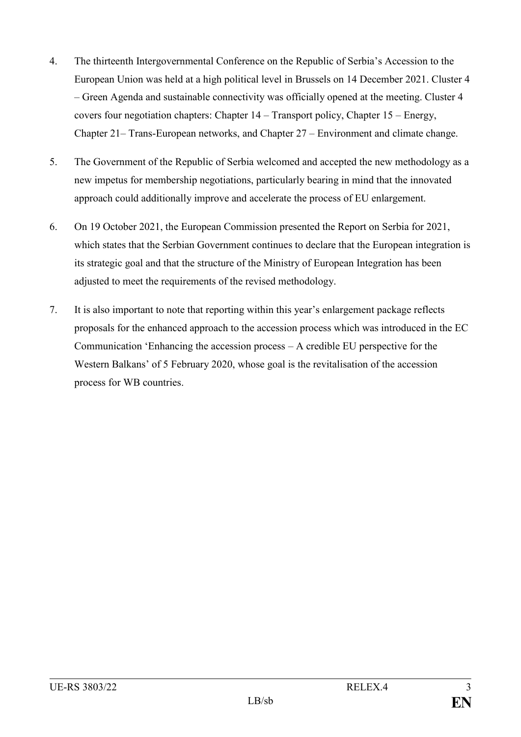- 4. The thirteenth Intergovernmental Conference on the Republic of Serbia's Accession to the European Union was held at a high political level in Brussels on 14 December 2021. Cluster 4 – Green Agenda and sustainable connectivity was officially opened at the meeting. Cluster 4 covers four negotiation chapters: Chapter 14 – Transport policy, Chapter 15 – Energy, Chapter 21– Trans-European networks, and Chapter 27 – Environment and climate change.
- 5. The Government of the Republic of Serbia welcomed and accepted the new methodology as a new impetus for membership negotiations, particularly bearing in mind that the innovated approach could additionally improve and accelerate the process of EU enlargement.
- 6. On 19 October 2021, the European Commission presented the Report on Serbia for 2021, which states that the Serbian Government continues to declare that the European integration is its strategic goal and that the structure of the Ministry of European Integration has been adjusted to meet the requirements of the revised methodology.
- 7. It is also important to note that reporting within this year's enlargement package reflects proposals for the enhanced approach to the accession process which was introduced in the EC Communication 'Enhancing the accession process – A credible EU perspective for the Western Balkans' of 5 February 2020, whose goal is the revitalisation of the accession process for WB countries.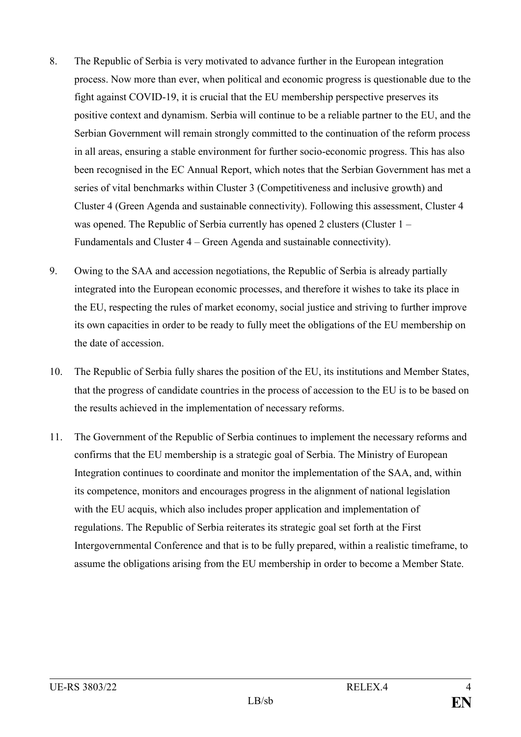- 8. The Republic of Serbia is very motivated to advance further in the European integration process. Now more than ever, when political and economic progress is questionable due to the fight against COVID-19, it is crucial that the EU membership perspective preserves its positive context and dynamism. Serbia will continue to be a reliable partner to the EU, and the Serbian Government will remain strongly committed to the continuation of the reform process in all areas, ensuring a stable environment for further socio-economic progress. This has also been recognised in the EC Annual Report, which notes that the Serbian Government has met a series of vital benchmarks within Cluster 3 (Competitiveness and inclusive growth) and Cluster 4 (Green Agenda and sustainable connectivity). Following this assessment, Cluster 4 was opened. The Republic of Serbia currently has opened 2 clusters (Cluster 1 – Fundamentals and Cluster 4 – Green Agenda and sustainable connectivity).
- 9. Owing to the SAA and accession negotiations, the Republic of Serbia is already partially integrated into the European economic processes, and therefore it wishes to take its place in the EU, respecting the rules of market economy, social justice and striving to further improve its own capacities in order to be ready to fully meet the obligations of the EU membership on the date of accession.
- 10. The Republic of Serbia fully shares the position of the EU, its institutions and Member States, that the progress of candidate countries in the process of accession to the EU is to be based on the results achieved in the implementation of necessary reforms.
- 11. The Government of the Republic of Serbia continues to implement the necessary reforms and confirms that the EU membership is a strategic goal of Serbia. The Ministry of European Integration continues to coordinate and monitor the implementation of the SAA, and, within its competence, monitors and encourages progress in the alignment of national legislation with the EU acquis, which also includes proper application and implementation of regulations. The Republic of Serbia reiterates its strategic goal set forth at the First Intergovernmental Conference and that is to be fully prepared, within a realistic timeframe, to assume the obligations arising from the EU membership in order to become a Member State.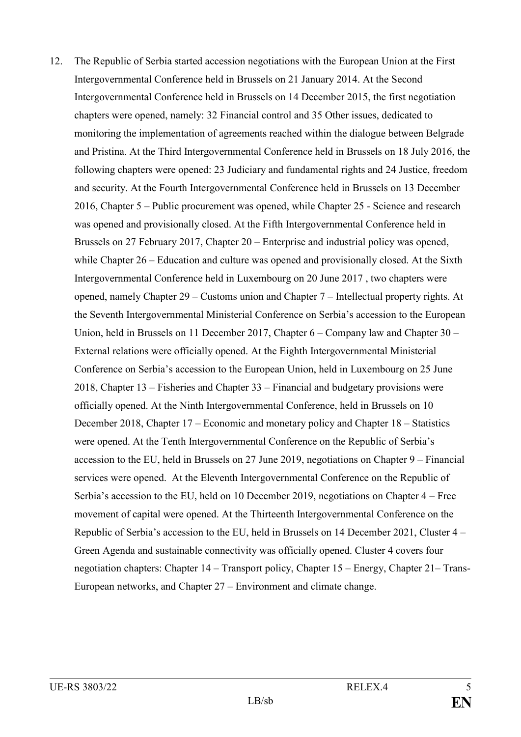12. The Republic of Serbia started accession negotiations with the European Union at the First Intergovernmental Conference held in Brussels on 21 January 2014. At the Second Intergovernmental Conference held in Brussels on 14 December 2015, the first negotiation chapters were opened, namely: 32 Financial control and 35 Other issues, dedicated to monitoring the implementation of agreements reached within the dialogue between Belgrade and Pristina. At the Third Intergovernmental Conference held in Brussels on 18 July 2016, the following chapters were opened: 23 Judiciary and fundamental rights and 24 Justice, freedom and security. At the Fourth Intergovernmental Conference held in Brussels on 13 December 2016, Chapter 5 – Public procurement was opened, while Chapter 25 - Science and research was opened and provisionally closed. At the Fifth Intergovernmental Conference held in Brussels on 27 February 2017, Chapter 20 – Enterprise and industrial policy was opened, while Chapter 26 – Education and culture was opened and provisionally closed. At the Sixth Intergovernmental Conference held in Luxembourg on 20 June 2017 , two chapters were opened, namely Chapter 29 – Customs union and Chapter 7 – Intellectual property rights. At the Seventh Intergovernmental Ministerial Conference on Serbia's accession to the European Union, held in Brussels on 11 December 2017, Chapter 6 – Company law and Chapter 30 – External relations were officially opened. At the Eighth Intergovernmental Ministerial Conference on Serbia's accession to the European Union, held in Luxembourg on 25 June 2018, Chapter 13 – Fisheries and Chapter 33 – Financial and budgetary provisions were officially opened. At the Ninth Intergovernmental Conference, held in Brussels on 10 December 2018, Chapter 17 – Economic and monetary policy and Chapter 18 – Statistics were opened. At the Tenth Intergovernmental Conference on the Republic of Serbia's accession to the EU, held in Brussels on 27 June 2019, negotiations on Chapter 9 – Financial services were opened. At the Eleventh Intergovernmental Conference on the Republic of Serbia's accession to the EU, held on 10 December 2019, negotiations on Chapter 4 – Free movement of capital were opened. At the Thirteenth Intergovernmental Conference on the Republic of Serbia's accession to the EU, held in Brussels on 14 December 2021, Cluster 4 – Green Agenda and sustainable connectivity was officially opened. Cluster 4 covers four negotiation chapters: Chapter 14 – Transport policy, Chapter 15 – Energy, Chapter 21– Trans-European networks, and Chapter 27 – Environment and climate change.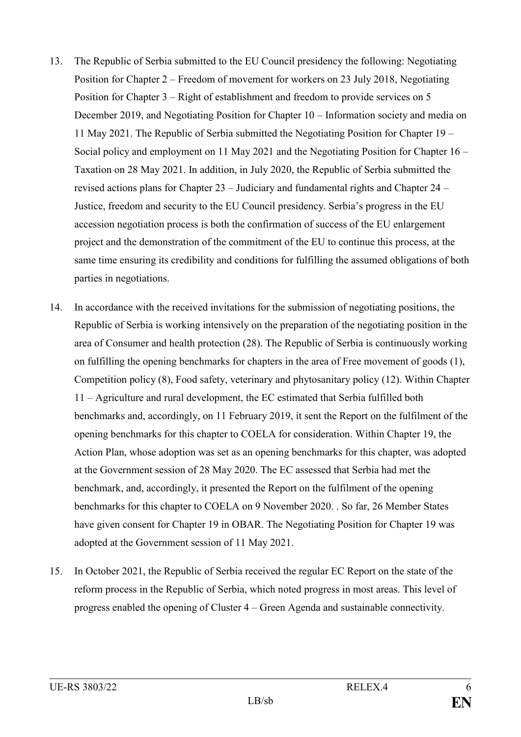- 13. The Republic of Serbia submitted to the EU Council presidency the following: Negotiating Position for Chapter 2 – Freedom of movement for workers on 23 July 2018, Negotiating Position for Chapter 3 – Right of establishment and freedom to provide services on 5 December 2019, and Negotiating Position for Chapter 10 – Information society and media on 11 May 2021. The Republic of Serbia submitted the Negotiating Position for Chapter 19 – Social policy and employment on 11 May 2021 and the Negotiating Position for Chapter 16 – Taxation on 28 May 2021. In addition, in July 2020, the Republic of Serbia submitted the revised actions plans for Chapter 23 – Judiciary and fundamental rights and Chapter 24 – Justice, freedom and security to the EU Council presidency. Serbia's progress in the EU accession negotiation process is both the confirmation of success of the EU enlargement project and the demonstration of the commitment of the EU to continue this process, at the same time ensuring its credibility and conditions for fulfilling the assumed obligations of both parties in negotiations.
- 14. In accordance with the received invitations for the submission of negotiating positions, the Republic of Serbia is working intensively on the preparation of the negotiating position in the area of Consumer and health protection (28). The Republic of Serbia is continuously working on fulfilling the opening benchmarks for chapters in the area of Free movement of goods (1), Competition policy (8), Food safety, veterinary and phytosanitary policy (12). Within Chapter 11 – Agriculture and rural development, the EC estimated that Serbia fulfilled both benchmarks and, accordingly, on 11 February 2019, it sent the Report on the fulfilment of the opening benchmarks for this chapter to COELA for consideration. Within Chapter 19, the Action Plan, whose adoption was set as an opening benchmarks for this chapter, was adopted at the Government session of 28 May 2020. The EC assessed that Serbia had met the benchmark, and, accordingly, it presented the Report on the fulfilment of the opening benchmarks for this chapter to COELA on 9 November 2020. . So far, 26 Member States have given consent for Chapter 19 in OBAR. The Negotiating Position for Chapter 19 was adopted at the Government session of 11 May 2021.
- 15. In October 2021, the Republic of Serbia received the regular EC Report on the state of the reform process in the Republic of Serbia, which noted progress in most areas. This level of progress enabled the opening of Cluster 4 – Green Agenda and sustainable connectivity.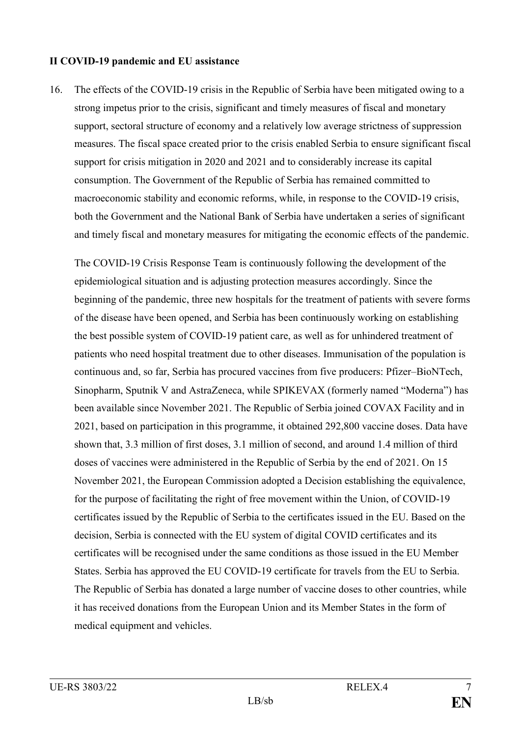#### **II COVID-19 pandemic and EU assistance**

16. The effects of the COVID-19 crisis in the Republic of Serbia have been mitigated owing to a strong impetus prior to the crisis, significant and timely measures of fiscal and monetary support, sectoral structure of economy and a relatively low average strictness of suppression measures. The fiscal space created prior to the crisis enabled Serbia to ensure significant fiscal support for crisis mitigation in 2020 and 2021 and to considerably increase its capital consumption. The Government of the Republic of Serbia has remained committed to macroeconomic stability and economic reforms, while, in response to the COVID-19 crisis, both the Government and the National Bank of Serbia have undertaken a series of significant and timely fiscal and monetary measures for mitigating the economic effects of the pandemic.

The COVID-19 Crisis Response Team is continuously following the development of the epidemiological situation and is adjusting protection measures accordingly. Since the beginning of the pandemic, three new hospitals for the treatment of patients with severe forms of the disease have been opened, and Serbia has been continuously working on establishing the best possible system of COVID-19 patient care, as well as for unhindered treatment of patients who need hospital treatment due to other diseases. Immunisation of the population is continuous and, so far, Serbia has procured vaccines from five producers: Pfizer–BioNTech, Sinopharm, Sputnik V and AstraZeneca, while SPIKEVAX (formerly named "Moderna") has been available since November 2021. The Republic of Serbia joined COVAX Facility and in 2021, based on participation in this programme, it obtained 292,800 vaccine doses. Data have shown that, 3.3 million of first doses, 3.1 million of second, and around 1.4 million of third doses of vaccines were administered in the Republic of Serbia by the end of 2021. On 15 November 2021, the European Commission adopted a Decision establishing the equivalence, for the purpose of facilitating the right of free movement within the Union, of COVID-19 certificates issued by the Republic of Serbia to the certificates issued in the EU. Based on the decision, Serbia is connected with the EU system of digital COVID certificates and its certificates will be recognised under the same conditions as those issued in the EU Member States. Serbia has approved the EU COVID-19 certificate for travels from the EU to Serbia. The Republic of Serbia has donated a large number of vaccine doses to other countries, while it has received donations from the European Union and its Member States in the form of medical equipment and vehicles.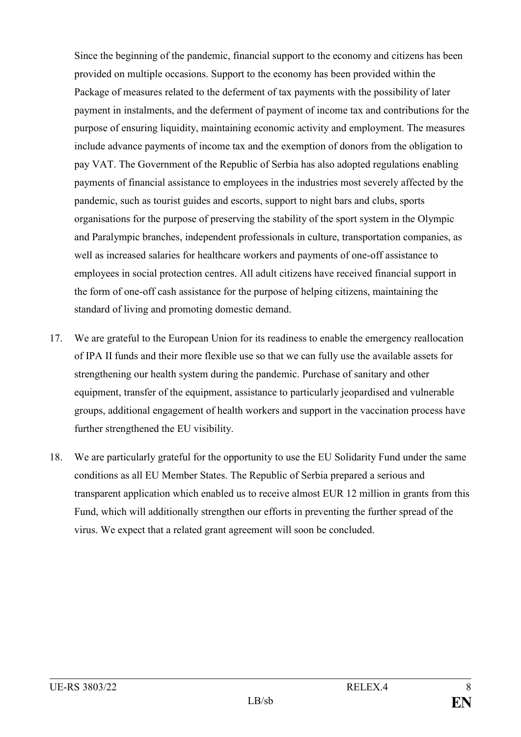Since the beginning of the pandemic, financial support to the economy and citizens has been provided on multiple occasions. Support to the economy has been provided within the Package of measures related to the deferment of tax payments with the possibility of later payment in instalments, and the deferment of payment of income tax and contributions for the purpose of ensuring liquidity, maintaining economic activity and employment. The measures include advance payments of income tax and the exemption of donors from the obligation to pay VAT. The Government of the Republic of Serbia has also adopted regulations enabling payments of financial assistance to employees in the industries most severely affected by the pandemic, such as tourist guides and escorts, support to night bars and clubs, sports organisations for the purpose of preserving the stability of the sport system in the Olympic and Paralympic branches, independent professionals in culture, transportation companies, as well as increased salaries for healthcare workers and payments of one-off assistance to employees in social protection centres. All adult citizens have received financial support in the form of one-off cash assistance for the purpose of helping citizens, maintaining the standard of living and promoting domestic demand.

- 17. We are grateful to the European Union for its readiness to enable the emergency reallocation of IPA II funds and their more flexible use so that we can fully use the available assets for strengthening our health system during the pandemic. Purchase of sanitary and other equipment, transfer of the equipment, assistance to particularly jeopardised and vulnerable groups, additional engagement of health workers and support in the vaccination process have further strengthened the EU visibility.
- 18. We are particularly grateful for the opportunity to use the EU Solidarity Fund under the same conditions as all EU Member States. The Republic of Serbia prepared a serious and transparent application which enabled us to receive almost EUR 12 million in grants from this Fund, which will additionally strengthen our efforts in preventing the further spread of the virus. We expect that a related grant agreement will soon be concluded.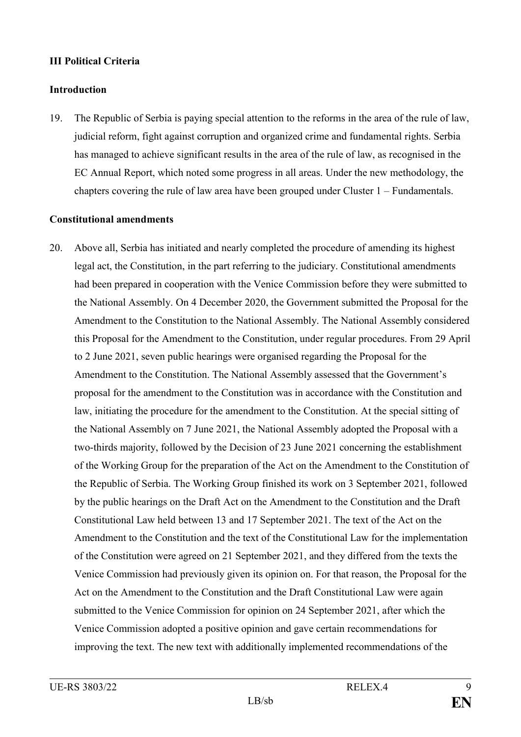# **III Political Criteria**

# **Introduction**

19. The Republic of Serbia is paying special attention to the reforms in the area of the rule of law, judicial reform, fight against corruption and organized crime and fundamental rights. Serbia has managed to achieve significant results in the area of the rule of law, as recognised in the EC Annual Report, which noted some progress in all areas. Under the new methodology, the chapters covering the rule of law area have been grouped under Cluster 1 – Fundamentals.

# **Constitutional amendments**

20. Above all, Serbia has initiated and nearly completed the procedure of amending its highest legal act, the Constitution, in the part referring to the judiciary. Constitutional amendments had been prepared in cooperation with the Venice Commission before they were submitted to the National Assembly. On 4 December 2020, the Government submitted the Proposal for the Amendment to the Constitution to the National Assembly. The National Assembly considered this Proposal for the Amendment to the Constitution, under regular procedures. From 29 April to 2 June 2021, seven public hearings were organised regarding the Proposal for the Amendment to the Constitution. The National Assembly assessed that the Government's proposal for the amendment to the Constitution was in accordance with the Constitution and law, initiating the procedure for the amendment to the Constitution. At the special sitting of the National Assembly on 7 June 2021, the National Assembly adopted the Proposal with a two-thirds majority, followed by the Decision of 23 June 2021 concerning the establishment of the Working Group for the preparation of the Act on the Amendment to the Constitution of the Republic of Serbia. The Working Group finished its work on 3 September 2021, followed by the public hearings on the Draft Act on the Amendment to the Constitution and the Draft Constitutional Law held between 13 and 17 September 2021. The text of the Act on the Amendment to the Constitution and the text of the Constitutional Law for the implementation of the Constitution were agreed on 21 September 2021, and they differed from the texts the Venice Commission had previously given its opinion on. For that reason, the Proposal for the Act on the Amendment to the Constitution and the Draft Constitutional Law were again submitted to the Venice Commission for opinion on 24 September 2021, after which the Venice Commission adopted a positive opinion and gave certain recommendations for improving the text. The new text with additionally implemented recommendations of the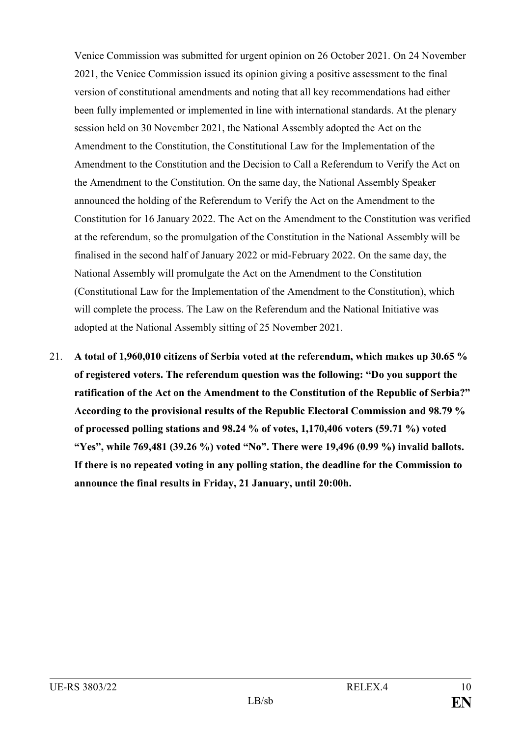Venice Commission was submitted for urgent opinion on 26 October 2021. On 24 November 2021, the Venice Commission issued its opinion giving a positive assessment to the final version of constitutional amendments and noting that all key recommendations had either been fully implemented or implemented in line with international standards. At the plenary session held on 30 November 2021, the National Assembly adopted the Act on the Amendment to the Constitution, the Constitutional Law for the Implementation of the Amendment to the Constitution and the Decision to Call a Referendum to Verify the Act on the Amendment to the Constitution. On the same day, the National Assembly Speaker announced the holding of the Referendum to Verify the Act on the Amendment to the Constitution for 16 January 2022. The Act on the Amendment to the Constitution was verified at the referendum, so the promulgation of the Constitution in the National Assembly will be finalised in the second half of January 2022 or mid-February 2022. On the same day, the National Assembly will promulgate the Act on the Amendment to the Constitution (Constitutional Law for the Implementation of the Amendment to the Constitution), which will complete the process. The Law on the Referendum and the National Initiative was adopted at the National Assembly sitting of 25 November 2021.

21. **A total of 1,960,010 citizens of Serbia voted at the referendum, which makes up 30.65 % of registered voters. The referendum question was the following: "Do you support the ratification of the Act on the Amendment to the Constitution of the Republic of Serbia?" According to the provisional results of the Republic Electoral Commission and 98.79 % of processed polling stations and 98.24 % of votes, 1,170,406 voters (59.71 %) voted "Yes", while 769,481 (39.26 %) voted "No". There were 19,496 (0.99 %) invalid ballots. If there is no repeated voting in any polling station, the deadline for the Commission to announce the final results in Friday, 21 January, until 20:00h.**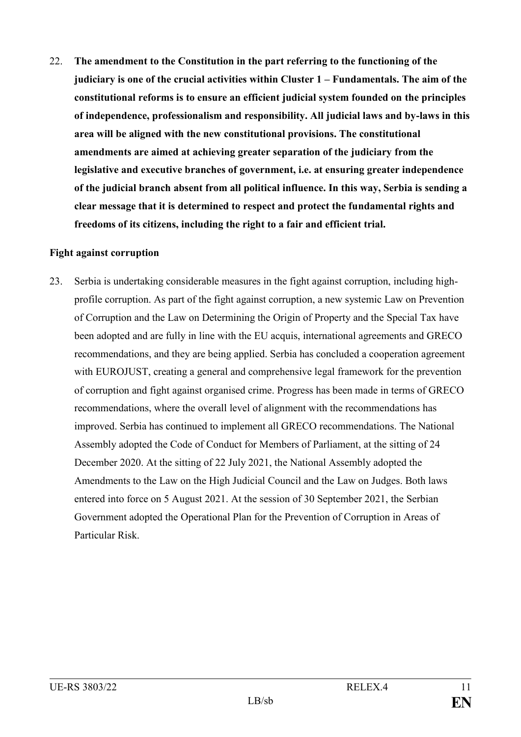22. **The amendment to the Constitution in the part referring to the functioning of the judiciary is one of the crucial activities within Cluster 1 – Fundamentals. The aim of the constitutional reforms is to ensure an efficient judicial system founded on the principles of independence, professionalism and responsibility. All judicial laws and by-laws in this area will be aligned with the new constitutional provisions. The constitutional amendments are aimed at achieving greater separation of the judiciary from the legislative and executive branches of government, i.e. at ensuring greater independence of the judicial branch absent from all political influence. In this way, Serbia is sending a clear message that it is determined to respect and protect the fundamental rights and freedoms of its citizens, including the right to a fair and efficient trial.**

#### **Fight against corruption**

23. Serbia is undertaking considerable measures in the fight against corruption, including highprofile corruption. As part of the fight against corruption, a new systemic Law on Prevention of Corruption and the Law on Determining the Origin of Property and the Special Tax have been adopted and are fully in line with the EU acquis, international agreements and GRECO recommendations, and they are being applied. Serbia has concluded a cooperation agreement with EUROJUST, creating a general and comprehensive legal framework for the prevention of corruption and fight against organised crime. Progress has been made in terms of GRECO recommendations, where the overall level of alignment with the recommendations has improved. Serbia has continued to implement all GRECO recommendations. The National Assembly adopted the Code of Conduct for Members of Parliament, at the sitting of 24 December 2020. At the sitting of 22 July 2021, the National Assembly adopted the Amendments to the Law on the High Judicial Council and the Law on Judges. Both laws entered into force on 5 August 2021. At the session of 30 September 2021, the Serbian Government adopted the Operational Plan for the Prevention of Corruption in Areas of Particular Risk.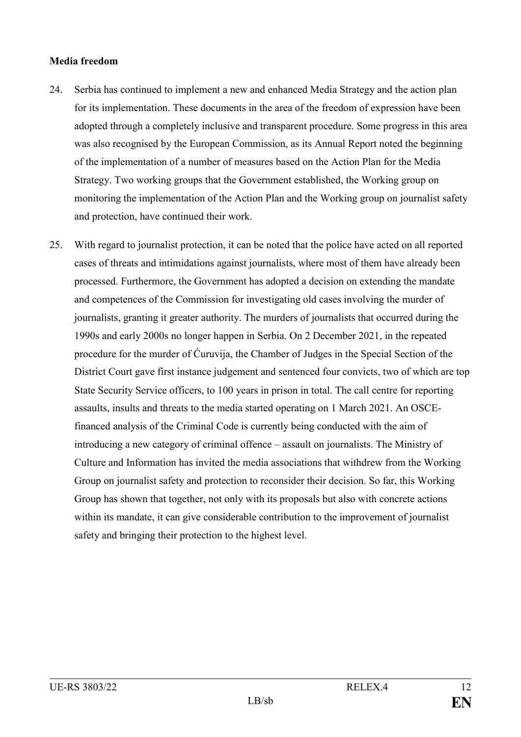#### **Media freedom**

- 24. Serbia has continued to implement a new and enhanced Media Strategy and the action plan for its implementation. These documents in the area of the freedom of expression have been adopted through a completely inclusive and transparent procedure. Some progress in this area was also recognised by the European Commission, as its Annual Report noted the beginning of the implementation of a number of measures based on the Action Plan for the Media Strategy. Two working groups that the Government established, the Working group on monitoring the implementation of the Action Plan and the Working group on journalist safety and protection, have continued their work.
- 25. With regard to journalist protection, it can be noted that the police have acted on all reported cases of threats and intimidations against journalists, where most of them have already been processed. Furthermore, the Government has adopted a decision on extending the mandate and competences of the Commission for investigating old cases involving the murder of journalists, granting it greater authority. The murders of journalists that occurred during the 1990s and early 2000s no longer happen in Serbia. On 2 December 2021, in the repeated procedure for the murder of Ćuruvija, the Chamber of Judges in the Special Section of the District Court gave first instance judgement and sentenced four convicts, two of which are top State Security Service officers, to 100 years in prison in total. The call centre for reporting assaults, insults and threats to the media started operating on 1 March 2021. An OSCEfinanced analysis of the Criminal Code is currently being conducted with the aim of introducing a new category of criminal offence – assault on journalists. The Ministry of Culture and Information has invited the media associations that withdrew from the Working Group on journalist safety and protection to reconsider their decision. So far, this Working Group has shown that together, not only with its proposals but also with concrete actions within its mandate, it can give considerable contribution to the improvement of journalist safety and bringing their protection to the highest level.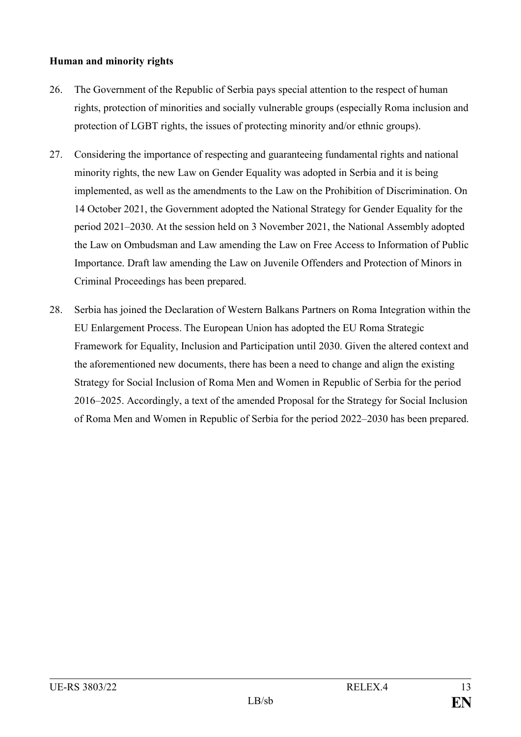# **Human and minority rights**

- 26. The Government of the Republic of Serbia pays special attention to the respect of human rights, protection of minorities and socially vulnerable groups (especially Roma inclusion and protection of LGBT rights, the issues of protecting minority and/or ethnic groups).
- 27. Considering the importance of respecting and guaranteeing fundamental rights and national minority rights, the new Law on Gender Equality was adopted in Serbia and it is being implemented, as well as the amendments to the Law on the Prohibition of Discrimination. On 14 October 2021, the Government adopted the National Strategy for Gender Equality for the period 2021–2030. At the session held on 3 November 2021, the National Assembly adopted the Law on Ombudsman and Law amending the Law on Free Access to Information of Public Importance. Draft law amending the Law on Juvenile Offenders and Protection of Minors in Criminal Proceedings has been prepared.
- 28. Serbia has joined the Declaration of Western Balkans Partners on Roma Integration within the EU Enlargement Process. The European Union has adopted the EU Roma Strategic Framework for Equality, Inclusion and Participation until 2030. Given the altered context and the aforementioned new documents, there has been a need to change and align the existing Strategy for Social Inclusion of Roma Men and Women in Republic of Serbia for the period 2016–2025. Accordingly, a text of the amended Proposal for the Strategy for Social Inclusion of Roma Men and Women in Republic of Serbia for the period 2022–2030 has been prepared.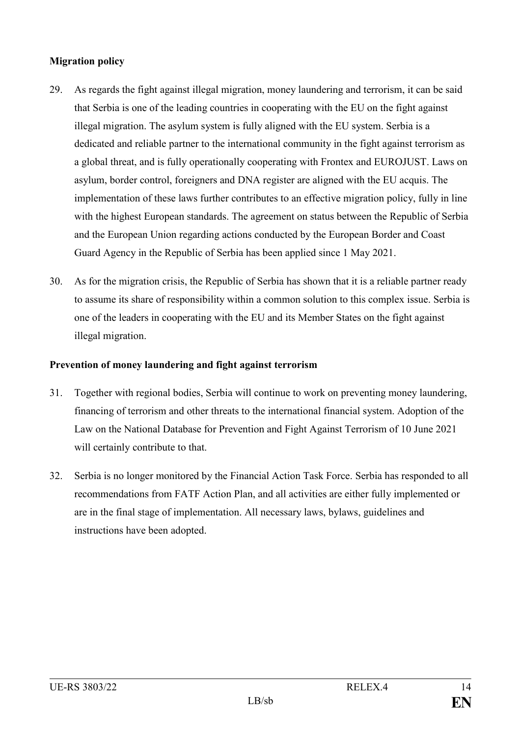# **Migration policy**

- 29. As regards the fight against illegal migration, money laundering and terrorism, it can be said that Serbia is one of the leading countries in cooperating with the EU on the fight against illegal migration. The asylum system is fully aligned with the EU system. Serbia is a dedicated and reliable partner to the international community in the fight against terrorism as a global threat, and is fully operationally cooperating with Frontex and EUROJUST. Laws on asylum, border control, foreigners and DNA register are aligned with the EU acquis. The implementation of these laws further contributes to an effective migration policy, fully in line with the highest European standards. The agreement on status between the Republic of Serbia and the European Union regarding actions conducted by the European Border and Coast Guard Agency in the Republic of Serbia has been applied since 1 May 2021.
- 30. As for the migration crisis, the Republic of Serbia has shown that it is a reliable partner ready to assume its share of responsibility within a common solution to this complex issue. Serbia is one of the leaders in cooperating with the EU and its Member States on the fight against illegal migration.

# **Prevention of money laundering and fight against terrorism**

- 31. Together with regional bodies, Serbia will continue to work on preventing money laundering, financing of terrorism and other threats to the international financial system. Adoption of the Law on the National Database for Prevention and Fight Against Terrorism of 10 June 2021 will certainly contribute to that.
- 32. Serbia is no longer monitored by the Financial Action Task Force. Serbia has responded to all recommendations from FATF Action Plan, and all activities are either fully implemented or are in the final stage of implementation. All necessary laws, bylaws, guidelines and instructions have been adopted.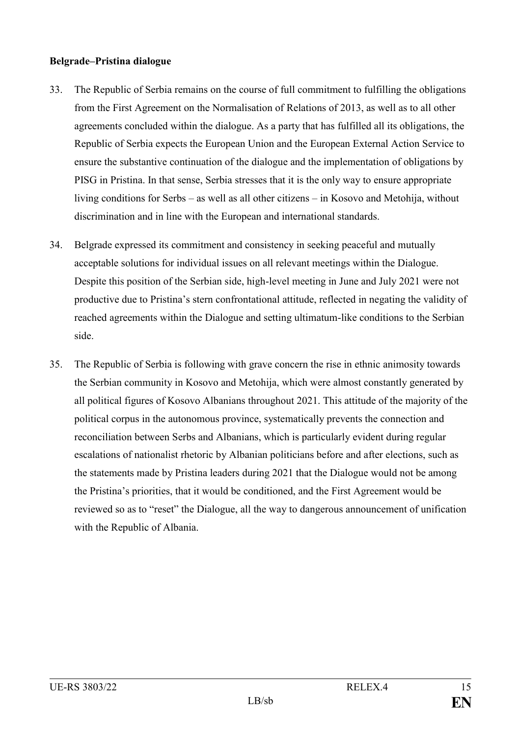#### **Belgrade–Pristina dialogue**

- 33. The Republic of Serbia remains on the course of full commitment to fulfilling the obligations from the First Agreement on the Normalisation of Relations of 2013, as well as to all other agreements concluded within the dialogue. As a party that has fulfilled all its obligations, the Republic of Serbia expects the European Union and the European External Action Service to ensure the substantive continuation of the dialogue and the implementation of obligations by PISG in Pristina. In that sense, Serbia stresses that it is the only way to ensure appropriate living conditions for Serbs – as well as all other citizens – in Kosovo and Metohija, without discrimination and in line with the European and international standards.
- 34. Belgrade expressed its commitment and consistency in seeking peaceful and mutually acceptable solutions for individual issues on all relevant meetings within the Dialogue. Despite this position of the Serbian side, high-level meeting in June and July 2021 were not productive due to Pristina's stern confrontational attitude, reflected in negating the validity of reached agreements within the Dialogue and setting ultimatum-like conditions to the Serbian side.
- 35. The Republic of Serbia is following with grave concern the rise in ethnic animosity towards the Serbian community in Kosovo and Metohija, which were almost constantly generated by all political figures of Kosovo Albanians throughout 2021. This attitude of the majority of the political corpus in the autonomous province, systematically prevents the connection and reconciliation between Serbs and Albanians, which is particularly evident during regular escalations of nationalist rhetoric by Albanian politicians before and after elections, such as the statements made by Pristina leaders during 2021 that the Dialogue would not be among the Pristina's priorities, that it would be conditioned, and the First Agreement would be reviewed so as to "reset" the Dialogue, all the way to dangerous announcement of unification with the Republic of Albania.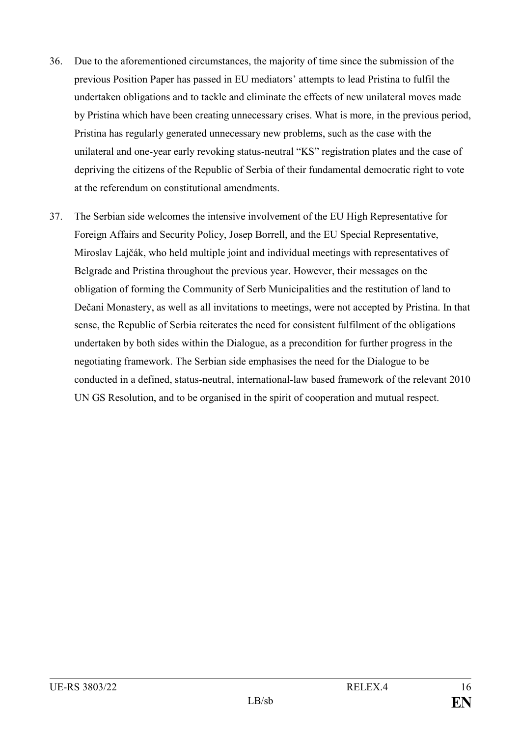- 36. Due to the aforementioned circumstances, the majority of time since the submission of the previous Position Paper has passed in EU mediators' attempts to lead Pristina to fulfil the undertaken obligations and to tackle and eliminate the effects of new unilateral moves made by Pristina which have been creating unnecessary crises. What is more, in the previous period, Pristina has regularly generated unnecessary new problems, such as the case with the unilateral and one-year early revoking status-neutral "KS" registration plates and the case of depriving the citizens of the Republic of Serbia of their fundamental democratic right to vote at the referendum on constitutional amendments.
- 37. The Serbian side welcomes the intensive involvement of the EU High Representative for Foreign Affairs and Security Policy, Josep Borrell, and the EU Special Representative, Miroslav Lajčák, who held multiple joint and individual meetings with representatives of Belgrade and Pristina throughout the previous year. However, their messages on the obligation of forming the Community of Serb Municipalities and the restitution of land to Dečani Monastery, as well as all invitations to meetings, were not accepted by Pristina. In that sense, the Republic of Serbia reiterates the need for consistent fulfilment of the obligations undertaken by both sides within the Dialogue, as a precondition for further progress in the negotiating framework. The Serbian side emphasises the need for the Dialogue to be conducted in a defined, status-neutral, international-law based framework of the relevant 2010 UN GS Resolution, and to be organised in the spirit of cooperation and mutual respect.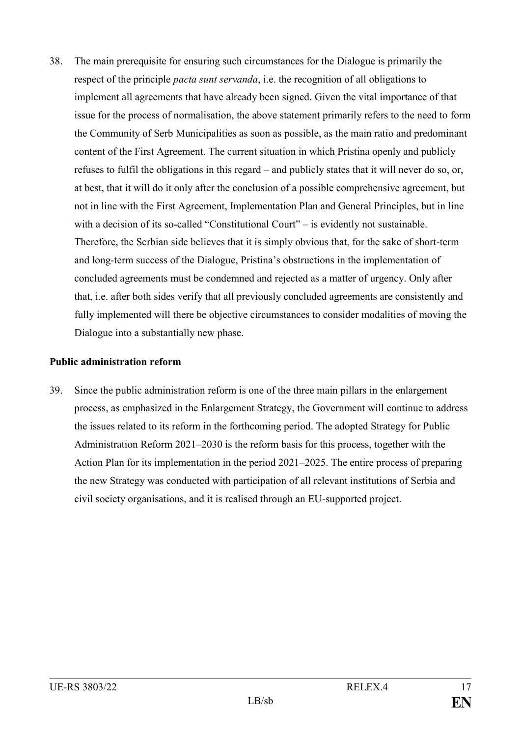38. The main prerequisite for ensuring such circumstances for the Dialogue is primarily the respect of the principle *pacta sunt servanda*, i.e. the recognition of all obligations to implement all agreements that have already been signed. Given the vital importance of that issue for the process of normalisation, the above statement primarily refers to the need to form the Community of Serb Municipalities as soon as possible, as the main ratio and predominant content of the First Agreement. The current situation in which Pristina openly and publicly refuses to fulfil the obligations in this regard – and publicly states that it will never do so, or, at best, that it will do it only after the conclusion of a possible comprehensive agreement, but not in line with the First Agreement, Implementation Plan and General Principles, but in line with a decision of its so-called "Constitutional Court" – is evidently not sustainable. Therefore, the Serbian side believes that it is simply obvious that, for the sake of short-term and long-term success of the Dialogue, Pristina's obstructions in the implementation of concluded agreements must be condemned and rejected as a matter of urgency. Only after that, i.e. after both sides verify that all previously concluded agreements are consistently and fully implemented will there be objective circumstances to consider modalities of moving the Dialogue into a substantially new phase.

#### **Public administration reform**

39. Since the public administration reform is one of the three main pillars in the enlargement process, as emphasized in the Enlargement Strategy, the Government will continue to address the issues related to its reform in the forthcoming period. The adopted Strategy for Public Administration Reform 2021–2030 is the reform basis for this process, together with the Action Plan for its implementation in the period 2021–2025. The entire process of preparing the new Strategy was conducted with participation of all relevant institutions of Serbia and civil society organisations, and it is realised through an EU-supported project.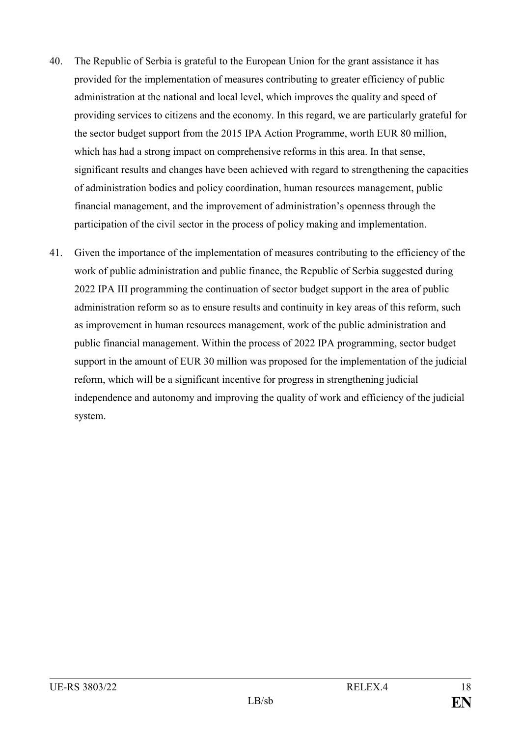- 40. The Republic of Serbia is grateful to the European Union for the grant assistance it has provided for the implementation of measures contributing to greater efficiency of public administration at the national and local level, which improves the quality and speed of providing services to citizens and the economy. In this regard, we are particularly grateful for the sector budget support from the 2015 IPA Action Programme, worth EUR 80 million, which has had a strong impact on comprehensive reforms in this area. In that sense, significant results and changes have been achieved with regard to strengthening the capacities of administration bodies and policy coordination, human resources management, public financial management, and the improvement of administration's openness through the participation of the civil sector in the process of policy making and implementation.
- 41. Given the importance of the implementation of measures contributing to the efficiency of the work of public administration and public finance, the Republic of Serbia suggested during 2022 IPA III programming the continuation of sector budget support in the area of public administration reform so as to ensure results and continuity in key areas of this reform, such as improvement in human resources management, work of the public administration and public financial management. Within the process of 2022 IPA programming, sector budget support in the amount of EUR 30 million was proposed for the implementation of the judicial reform, which will be a significant incentive for progress in strengthening judicial independence and autonomy and improving the quality of work and efficiency of the judicial system.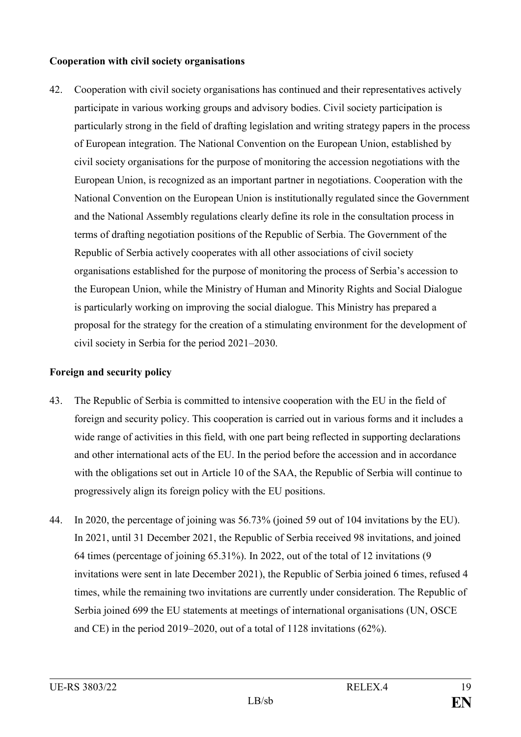# **Cooperation with civil society organisations**

42. Cooperation with civil society organisations has continued and their representatives actively participate in various working groups and advisory bodies. Civil society participation is particularly strong in the field of drafting legislation and writing strategy papers in the process of European integration. The National Convention on the European Union, established by civil society organisations for the purpose of monitoring the accession negotiations with the European Union, is recognized as an important partner in negotiations. Cooperation with the National Convention on the European Union is institutionally regulated since the Government and the National Assembly regulations clearly define its role in the consultation process in terms of drafting negotiation positions of the Republic of Serbia. The Government of the Republic of Serbia actively cooperates with all other associations of civil society organisations established for the purpose of monitoring the process of Serbia's accession to the European Union, while the Ministry of Human and Minority Rights and Social Dialogue is particularly working on improving the social dialogue. This Ministry has prepared a proposal for the strategy for the creation of a stimulating environment for the development of civil society in Serbia for the period 2021–2030.

# **Foreign and security policy**

- 43. The Republic of Serbia is committed to intensive cooperation with the EU in the field of foreign and security policy. This cooperation is carried out in various forms and it includes a wide range of activities in this field, with one part being reflected in supporting declarations and other international acts of the EU. In the period before the accession and in accordance with the obligations set out in Article 10 of the SAA, the Republic of Serbia will continue to progressively align its foreign policy with the EU positions.
- 44. In 2020, the percentage of joining was 56.73% (joined 59 out of 104 invitations by the EU). In 2021, until 31 December 2021, the Republic of Serbia received 98 invitations, and joined 64 times (percentage of joining 65.31%). In 2022, out of the total of 12 invitations (9 invitations were sent in late December 2021), the Republic of Serbia joined 6 times, refused 4 times, while the remaining two invitations are currently under consideration. The Republic of Serbia joined 699 the EU statements at meetings of international organisations (UN, OSCE and CE) in the period 2019–2020, out of a total of 1128 invitations (62%).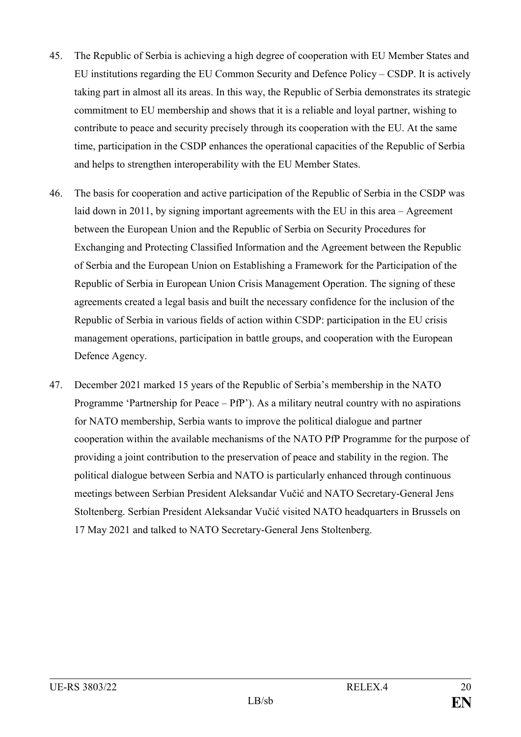- 45. The Republic of Serbia is achieving a high degree of cooperation with EU Member States and EU institutions regarding the EU Common Security and Defence Policy – CSDP. It is actively taking part in almost all its areas. In this way, the Republic of Serbia demonstrates its strategic commitment to EU membership and shows that it is a reliable and loyal partner, wishing to contribute to peace and security precisely through its cooperation with the EU. At the same time, participation in the CSDP enhances the operational capacities of the Republic of Serbia and helps to strengthen interoperability with the EU Member States.
- 46. The basis for cooperation and active participation of the Republic of Serbia in the CSDP was laid down in 2011, by signing important agreements with the EU in this area – Agreement between the European Union and the Republic of Serbia on Security Procedures for Exchanging and Protecting Classified Information and the Agreement between the Republic of Serbia and the European Union on Establishing a Framework for the Participation of the Republic of Serbia in European Union Crisis Management Operation. The signing of these agreements created a legal basis and built the necessary confidence for the inclusion of the Republic of Serbia in various fields of action within CSDP: participation in the EU crisis management operations, participation in battle groups, and cooperation with the European Defence Agency.
- 47. December 2021 marked 15 years of the Republic of Serbia's membership in the NATO Programme 'Partnership for Peace – PfP'). As a military neutral country with no aspirations for NATO membership, Serbia wants to improve the political dialogue and partner cooperation within the available mechanisms of the NATO PfP Programme for the purpose of providing a joint contribution to the preservation of peace and stability in the region. The political dialogue between Serbia and NATO is particularly enhanced through continuous meetings between Serbian President Aleksandar Vučić and NATO Secretary-General Jens Stoltenberg. Serbian President Aleksandar Vučić visited NATO headquarters in Brussels on 17 May 2021 and talked to NATO Secretary-General Jens Stoltenberg.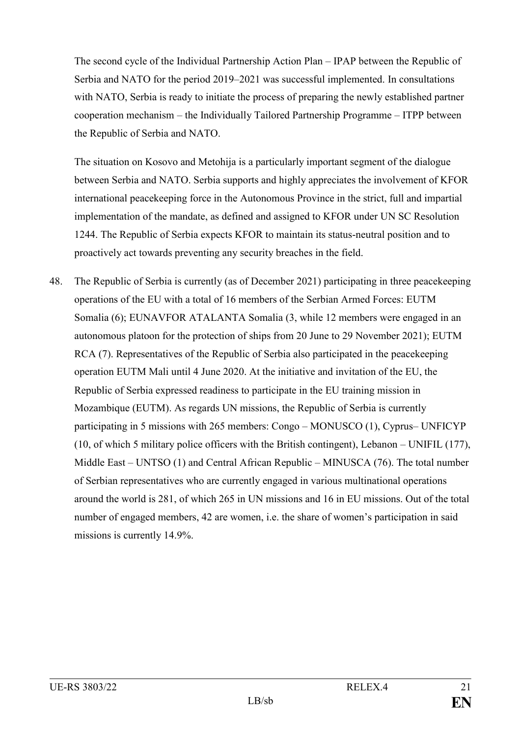The second cycle of the Individual Partnership Action Plan – IPAP between the Republic of Serbia and NATO for the period 2019–2021 was successful implemented. In consultations with NATO, Serbia is ready to initiate the process of preparing the newly established partner cooperation mechanism – the Individually Tailored Partnership Programme – ITPP between the Republic of Serbia and NATO.

The situation on Kosovo and Metohija is a particularly important segment of the dialogue between Serbia and NATO. Serbia supports and highly appreciates the involvement of KFOR international peacekeeping force in the Autonomous Province in the strict, full and impartial implementation of the mandate, as defined and assigned to KFOR under UN SC Resolution 1244. The Republic of Serbia expects KFOR to maintain its status-neutral position and to proactively act towards preventing any security breaches in the field.

48. The Republic of Serbia is currently (as of December 2021) participating in three peacekeeping operations of the EU with a total of 16 members of the Serbian Armed Forces: EUTM Somalia (6); EUNAVFOR ATALANTA Somalia (3, while 12 members were engaged in an autonomous platoon for the protection of ships from 20 June to 29 November 2021); EUTM RCA (7). Representatives of the Republic of Serbia also participated in the peacekeeping operation EUTM Mali until 4 June 2020. At the initiative and invitation of the EU, the Republic of Serbia expressed readiness to participate in the EU training mission in Mozambique (EUTM). As regards UN missions, the Republic of Serbia is currently participating in 5 missions with 265 members: Congo – MONUSCO (1), Cyprus– UNFICYP (10, of which 5 military police officers with the British contingent), Lebanon – UNIFIL (177), Middle East – UNTSO (1) and Central African Republic – MINUSCA (76). The total number of Serbian representatives who are currently engaged in various multinational operations around the world is 281, of which 265 in UN missions and 16 in EU missions. Out of the total number of engaged members, 42 are women, i.e. the share of women's participation in said missions is currently 14.9%.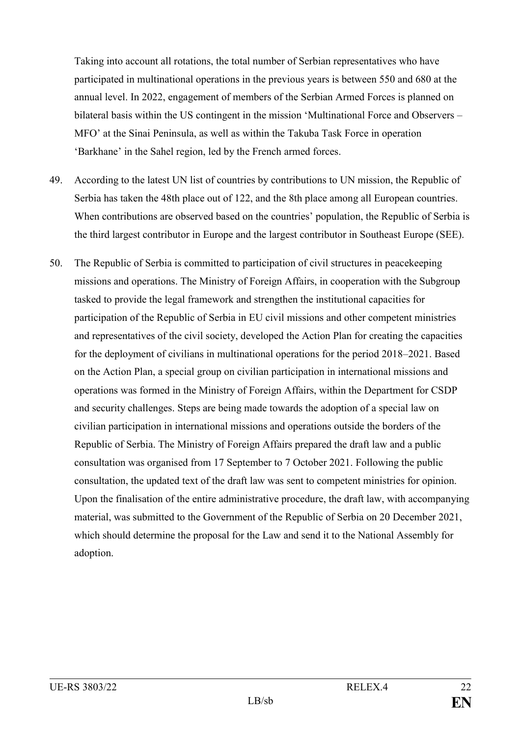Taking into account all rotations, the total number of Serbian representatives who have participated in multinational operations in the previous years is between 550 and 680 at the annual level. In 2022, engagement of members of the Serbian Armed Forces is planned on bilateral basis within the US contingent in the mission 'Multinational Force and Observers – MFO' at the Sinai Peninsula, as well as within the Takuba Task Force in operation 'Barkhane' in the Sahel region, led by the French armed forces.

- 49. According to the latest UN list of countries by contributions to UN mission, the Republic of Serbia has taken the 48th place out of 122, and the 8th place among all European countries. When contributions are observed based on the countries' population, the Republic of Serbia is the third largest contributor in Europe and the largest contributor in Southeast Europe (SEE).
- 50. The Republic of Serbia is committed to participation of civil structures in peacekeeping missions and operations. The Ministry of Foreign Affairs, in cooperation with the Subgroup tasked to provide the legal framework and strengthen the institutional capacities for participation of the Republic of Serbia in EU civil missions and other competent ministries and representatives of the civil society, developed the Action Plan for creating the capacities for the deployment of civilians in multinational operations for the period 2018–2021. Based on the Action Plan, a special group on civilian participation in international missions and operations was formed in the Ministry of Foreign Affairs, within the Department for CSDP and security challenges. Steps are being made towards the adoption of a special law on civilian participation in international missions and operations outside the borders of the Republic of Serbia. The Ministry of Foreign Affairs prepared the draft law and a public consultation was organised from 17 September to 7 October 2021. Following the public consultation, the updated text of the draft law was sent to competent ministries for opinion. Upon the finalisation of the entire administrative procedure, the draft law, with accompanying material, was submitted to the Government of the Republic of Serbia on 20 December 2021, which should determine the proposal for the Law and send it to the National Assembly for adoption.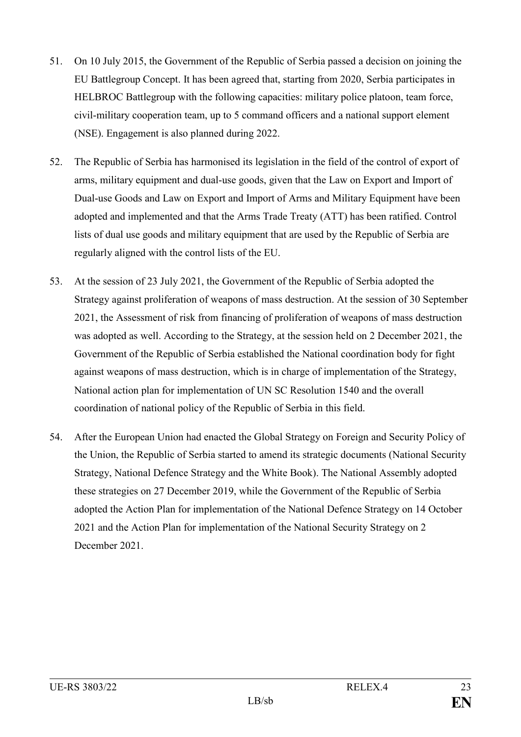- 51. On 10 July 2015, the Government of the Republic of Serbia passed a decision on joining the EU Battlegroup Concept. It has been agreed that, starting from 2020, Serbia participates in HELBROC Battlegroup with the following capacities: military police platoon, team force, civil-military cooperation team, up to 5 command officers and a national support element (NSE). Engagement is also planned during 2022.
- 52. The Republic of Serbia has harmonised its legislation in the field of the control of export of arms, military equipment and dual-use goods, given that the Law on Export and Import of Dual-use Goods and Law on Export and Import of Arms and Military Equipment have been adopted and implemented and that the Arms Trade Treaty (ATT) has been ratified. Control lists of dual use goods and military equipment that are used by the Republic of Serbia are regularly aligned with the control lists of the EU.
- 53. At the session of 23 July 2021, the Government of the Republic of Serbia adopted the Strategy against proliferation of weapons of mass destruction. At the session of 30 September 2021, the Assessment of risk from financing of proliferation of weapons of mass destruction was adopted as well. According to the Strategy, at the session held on 2 December 2021, the Government of the Republic of Serbia established the National coordination body for fight against weapons of mass destruction, which is in charge of implementation of the Strategy, National action plan for implementation of UN SC Resolution 1540 and the overall coordination of national policy of the Republic of Serbia in this field.
- 54. After the European Union had enacted the Global Strategy on Foreign and Security Policy of the Union, the Republic of Serbia started to amend its strategic documents (National Security Strategy, National Defence Strategy and the White Book). The National Assembly adopted these strategies on 27 December 2019, while the Government of the Republic of Serbia adopted the Action Plan for implementation of the National Defence Strategy on 14 October 2021 and the Action Plan for implementation of the National Security Strategy on 2 December 2021.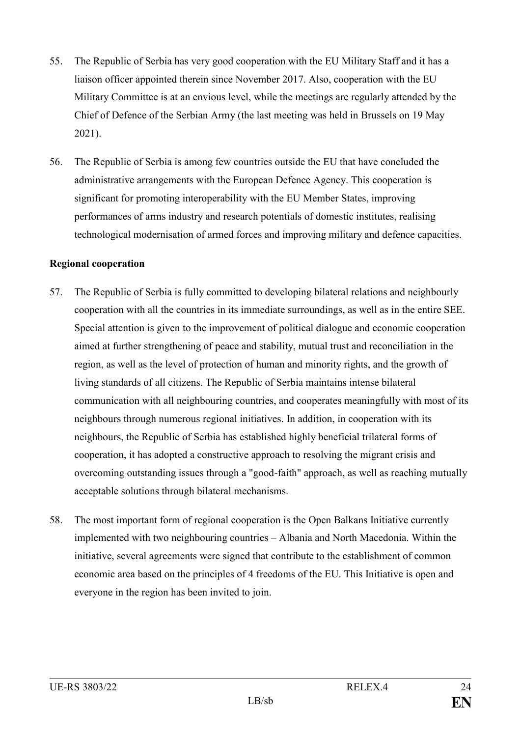- 55. The Republic of Serbia has very good cooperation with the EU Military Staff and it has a liaison officer appointed therein since November 2017. Also, cooperation with the EU Military Committee is at an envious level, while the meetings are regularly attended by the Chief of Defence of the Serbian Army (the last meeting was held in Brussels on 19 May 2021).
- 56. The Republic of Serbia is among few countries outside the EU that have concluded the administrative arrangements with the European Defence Agency. This cooperation is significant for promoting interoperability with the EU Member States, improving performances of arms industry and research potentials of domestic institutes, realising technological modernisation of armed forces and improving military and defence capacities.

# **Regional cooperation**

- 57. The Republic of Serbia is fully committed to developing bilateral relations and neighbourly cooperation with all the countries in its immediate surroundings, as well as in the entire SEE. Special attention is given to the improvement of political dialogue and economic cooperation aimed at further strengthening of peace and stability, mutual trust and reconciliation in the region, as well as the level of protection of human and minority rights, and the growth of living standards of all citizens. The Republic of Serbia maintains intense bilateral communication with all neighbouring countries, and cooperates meaningfully with most of its neighbours through numerous regional initiatives. In addition, in cooperation with its neighbours, the Republic of Serbia has established highly beneficial trilateral forms of cooperation, it has adopted a constructive approach to resolving the migrant crisis and overcoming outstanding issues through a "good-faith" approach, as well as reaching mutually acceptable solutions through bilateral mechanisms.
- 58. The most important form of regional cooperation is the Open Balkans Initiative currently implemented with two neighbouring countries – Albania and North Macedonia. Within the initiative, several agreements were signed that contribute to the establishment of common economic area based on the principles of 4 freedoms of the EU. This Initiative is open and everyone in the region has been invited to join.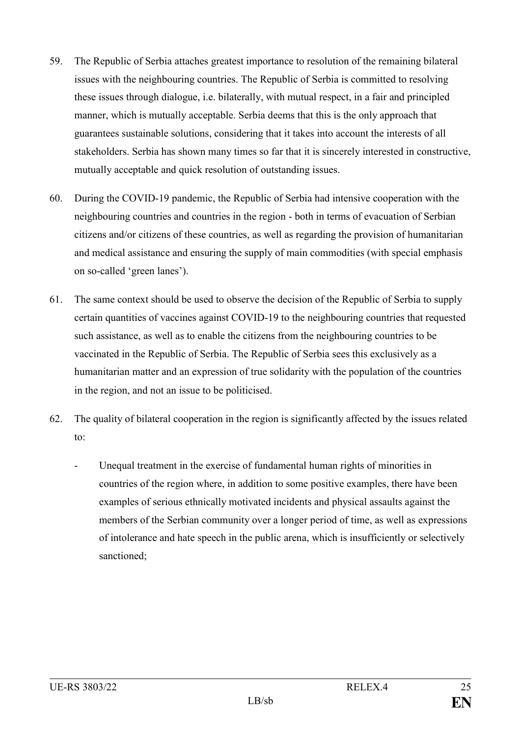- 59. The Republic of Serbia attaches greatest importance to resolution of the remaining bilateral issues with the neighbouring countries. The Republic of Serbia is committed to resolving these issues through dialogue, i.e. bilaterally, with mutual respect, in a fair and principled manner, which is mutually acceptable. Serbia deems that this is the only approach that guarantees sustainable solutions, considering that it takes into account the interests of all stakeholders. Serbia has shown many times so far that it is sincerely interested in constructive, mutually acceptable and quick resolution of outstanding issues.
- 60. During the COVID-19 pandemic, the Republic of Serbia had intensive cooperation with the neighbouring countries and countries in the region - both in terms of evacuation of Serbian citizens and/or citizens of these countries, as well as regarding the provision of humanitarian and medical assistance and ensuring the supply of main commodities (with special emphasis on so-called 'green lanes').
- 61. The same context should be used to observe the decision of the Republic of Serbia to supply certain quantities of vaccines against COVID-19 to the neighbouring countries that requested such assistance, as well as to enable the citizens from the neighbouring countries to be vaccinated in the Republic of Serbia. The Republic of Serbia sees this exclusively as a humanitarian matter and an expression of true solidarity with the population of the countries in the region, and not an issue to be politicised.
- 62. The quality of bilateral cooperation in the region is significantly affected by the issues related to:
	- Unequal treatment in the exercise of fundamental human rights of minorities in countries of the region where, in addition to some positive examples, there have been examples of serious ethnically motivated incidents and physical assaults against the members of the Serbian community over a longer period of time, as well as expressions of intolerance and hate speech in the public arena, which is insufficiently or selectively sanctioned;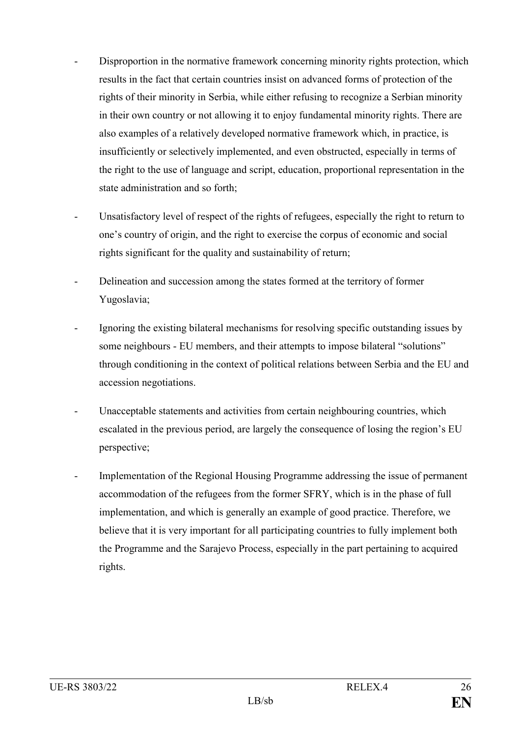- Disproportion in the normative framework concerning minority rights protection, which results in the fact that certain countries insist on advanced forms of protection of the rights of their minority in Serbia, while either refusing to recognize a Serbian minority in their own country or not allowing it to enjoy fundamental minority rights. There are also examples of a relatively developed normative framework which, in practice, is insufficiently or selectively implemented, and even obstructed, especially in terms of the right to the use of language and script, education, proportional representation in the state administration and so forth;
- Unsatisfactory level of respect of the rights of refugees, especially the right to return to one's country of origin, and the right to exercise the corpus of economic and social rights significant for the quality and sustainability of return;
- Delineation and succession among the states formed at the territory of former Yugoslavia;
- Ignoring the existing bilateral mechanisms for resolving specific outstanding issues by some neighbours - EU members, and their attempts to impose bilateral "solutions" through conditioning in the context of political relations between Serbia and the EU and accession negotiations.
- Unacceptable statements and activities from certain neighbouring countries, which escalated in the previous period, are largely the consequence of losing the region's EU perspective;
- Implementation of the Regional Housing Programme addressing the issue of permanent accommodation of the refugees from the former SFRY, which is in the phase of full implementation, and which is generally an example of good practice. Therefore, we believe that it is very important for all participating countries to fully implement both the Programme and the Sarajevo Process, especially in the part pertaining to acquired rights.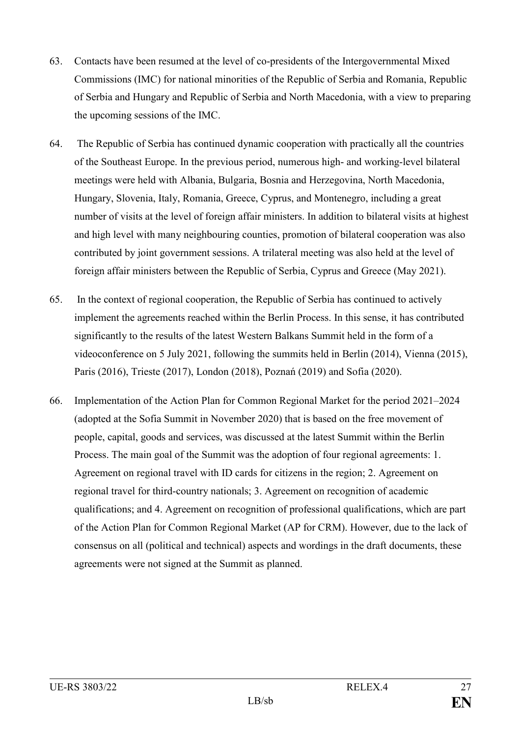- 63. Contacts have been resumed at the level of co-presidents of the Intergovernmental Mixed Commissions (IMC) for national minorities of the Republic of Serbia and Romania, Republic of Serbia and Hungary and Republic of Serbia and North Macedonia, with a view to preparing the upcoming sessions of the IMC.
- 64. The Republic of Serbia has continued dynamic cooperation with practically all the countries of the Southeast Europe. In the previous period, numerous high- and working-level bilateral meetings were held with Albania, Bulgaria, Bosnia and Herzegovina, North Macedonia, Hungary, Slovenia, Italy, Romania, Greece, Cyprus, and Montenegro, including a great number of visits at the level of foreign affair ministers. In addition to bilateral visits at highest and high level with many neighbouring counties, promotion of bilateral cooperation was also contributed by joint government sessions. A trilateral meeting was also held at the level of foreign affair ministers between the Republic of Serbia, Cyprus and Greece (May 2021).
- 65. In the context of regional cooperation, the Republic of Serbia has continued to actively implement the agreements reached within the Berlin Process. In this sense, it has contributed significantly to the results of the latest Western Balkans Summit held in the form of a videoconference on 5 July 2021, following the summits held in Berlin (2014), Vienna (2015), Paris (2016), Trieste (2017), London (2018), Poznań (2019) and Sofia (2020).
- 66. Implementation of the Action Plan for Common Regional Market for the period 2021–2024 (adopted at the Sofia Summit in November 2020) that is based on the free movement of people, capital, goods and services, was discussed at the latest Summit within the Berlin Process. The main goal of the Summit was the adoption of four regional agreements: 1. Agreement on regional travel with ID cards for citizens in the region; 2. Agreement on regional travel for third-country nationals; 3. Agreement on recognition of academic qualifications; and 4. Agreement on recognition of professional qualifications, which are part of the Action Plan for Common Regional Market (AP for CRM). However, due to the lack of consensus on all (political and technical) aspects and wordings in the draft documents, these agreements were not signed at the Summit as planned.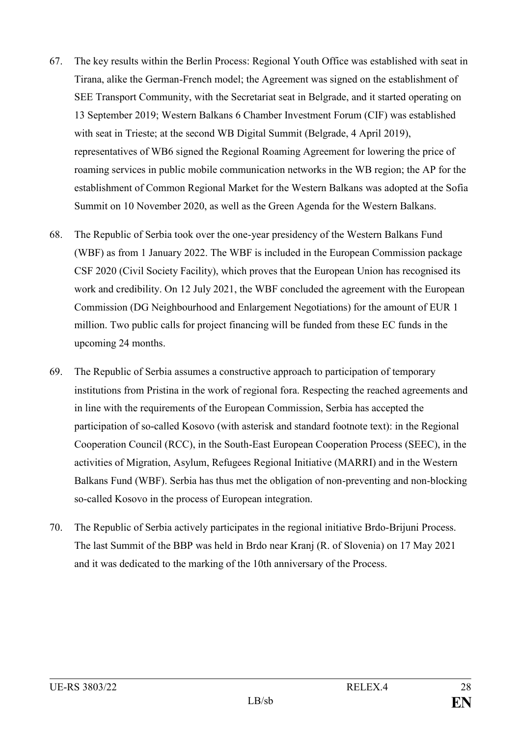- 67. The key results within the Berlin Process: Regional Youth Office was established with seat in Tirana, alike the German-French model; the Agreement was signed on the establishment of SEE Transport Community, with the Secretariat seat in Belgrade, and it started operating on 13 September 2019; Western Balkans 6 Chamber Investment Forum (CIF) was established with seat in Trieste; at the second WB Digital Summit (Belgrade, 4 April 2019), representatives of WB6 signed the Regional Roaming Agreement for lowering the price of roaming services in public mobile communication networks in the WB region; the AP for the establishment of Common Regional Market for the Western Balkans was adopted at the Sofia Summit on 10 November 2020, as well as the Green Agenda for the Western Balkans.
- 68. The Republic of Serbia took over the one-year presidency of the Western Balkans Fund (WBF) as from 1 January 2022. The WBF is included in the European Commission package CSF 2020 (Civil Society Facility), which proves that the European Union has recognised its work and credibility. On 12 July 2021, the WBF concluded the agreement with the European Commission (DG Neighbourhood and Enlargement Negotiations) for the amount of EUR 1 million. Two public calls for project financing will be funded from these EC funds in the upcoming 24 months.
- 69. The Republic of Serbia assumes a constructive approach to participation of temporary institutions from Pristina in the work of regional fora. Respecting the reached agreements and in line with the requirements of the European Commission, Serbia has accepted the participation of so-called Kosovo (with asterisk and standard footnote text): in the Regional Cooperation Council (RCC), in the South-East European Cooperation Process (SEEC), in the activities of Migration, Asylum, Refugees Regional Initiative (MARRI) and in the Western Balkans Fund (WBF). Serbia has thus met the obligation of non-preventing and non-blocking so-called Kosovo in the process of European integration.
- 70. The Republic of Serbia actively participates in the regional initiative Brdo-Brijuni Process. The last Summit of the BBP was held in Brdo near Kranj (R. of Slovenia) on 17 May 2021 and it was dedicated to the marking of the 10th anniversary of the Process.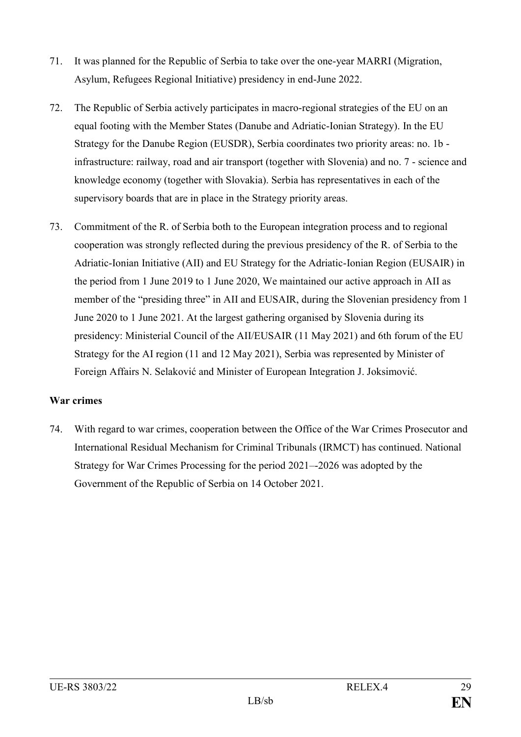- 71. It was planned for the Republic of Serbia to take over the one-year MARRI (Migration, Asylum, Refugees Regional Initiative) presidency in end-June 2022.
- 72. The Republic of Serbia actively participates in macro-regional strategies of the EU on an equal footing with the Member States (Danube and Adriatic-Ionian Strategy). In the EU Strategy for the Danube Region (EUSDR), Serbia coordinates two priority areas: no. 1b infrastructure: railway, road and air transport (together with Slovenia) and no. 7 - science and knowledge economy (together with Slovakia). Serbia has representatives in each of the supervisory boards that are in place in the Strategy priority areas.
- 73. Commitment of the R. of Serbia both to the European integration process and to regional cooperation was strongly reflected during the previous presidency of the R. of Serbia to the Adriatic-Ionian Initiative (AII) and EU Strategy for the Adriatic-Ionian Region (EUSAIR) in the period from 1 June 2019 to 1 June 2020, We maintained our active approach in AII as member of the "presiding three" in AII and EUSAIR, during the Slovenian presidency from 1 June 2020 to 1 June 2021. At the largest gathering organised by Slovenia during its presidency: Ministerial Council of the AII/EUSAIR (11 May 2021) and 6th forum of the EU Strategy for the AI region (11 and 12 May 2021), Serbia was represented by Minister of Foreign Affairs N. Selaković and Minister of European Integration J. Joksimović.

# **War crimes**

74. With regard to war crimes, cooperation between the Office of the War Crimes Prosecutor and International Residual Mechanism for Criminal Tribunals (IRMCT) has continued. National Strategy for War Crimes Processing for the period 2021–-2026 was adopted by the Government of the Republic of Serbia on 14 October 2021.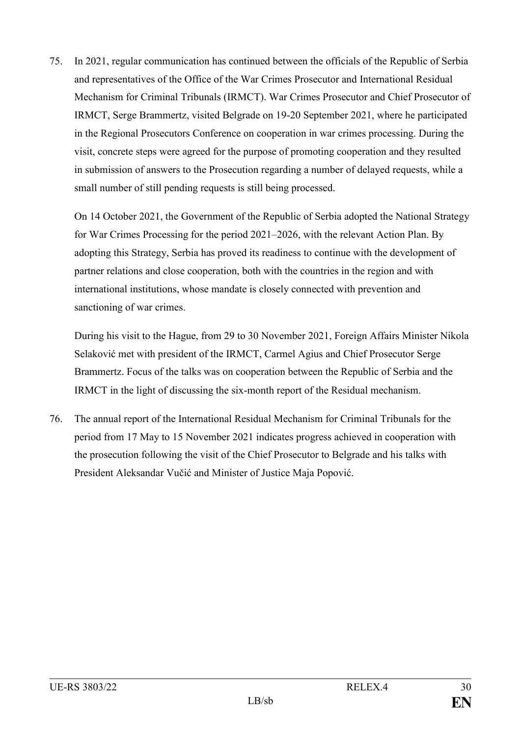75. In 2021, regular communication has continued between the officials of the Republic of Serbia and representatives of the Office of the War Crimes Prosecutor and International Residual Mechanism for Criminal Tribunals (IRMCT). War Crimes Prosecutor and Chief Prosecutor of IRMCT, Serge Brammertz, visited Belgrade on 19-20 September 2021, where he participated in the Regional Prosecutors Conference on cooperation in war crimes processing. During the visit, concrete steps were agreed for the purpose of promoting cooperation and they resulted in submission of answers to the Prosecution regarding a number of delayed requests, while a small number of still pending requests is still being processed.

On 14 October 2021, the Government of the Republic of Serbia adopted the National Strategy for War Crimes Processing for the period 2021–2026, with the relevant Action Plan. By adopting this Strategy, Serbia has proved its readiness to continue with the development of partner relations and close cooperation, both with the countries in the region and with international institutions, whose mandate is closely connected with prevention and sanctioning of war crimes.

During his visit to the Hague, from 29 to 30 November 2021, Foreign Affairs Minister Nikola Selaković met with president of the IRMCT, Carmel Agius and Chief Prosecutor Serge Brammertz. Focus of the talks was on cooperation between the Republic of Serbia and the IRMCT in the light of discussing the six-month report of the Residual mechanism.

76. The annual report of the International Residual Mechanism for Criminal Tribunals for the period from 17 May to 15 November 2021 indicates progress achieved in cooperation with the prosecution following the visit of the Chief Prosecutor to Belgrade and his talks with President Aleksandar Vučić and Minister of Justice Maja Popović.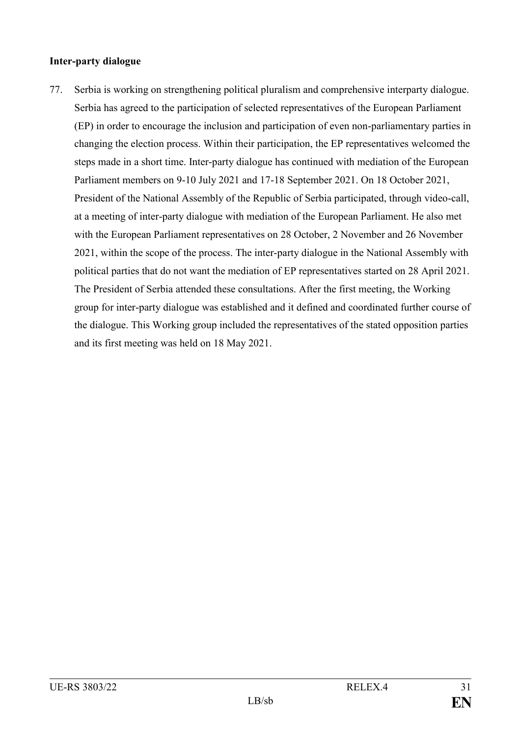### **Inter-party dialogue**

77. Serbia is working on strengthening political pluralism and comprehensive interparty dialogue. Serbia has agreed to the participation of selected representatives of the European Parliament (EP) in order to encourage the inclusion and participation of even non-parliamentary parties in changing the election process. Within their participation, the EP representatives welcomed the steps made in a short time. Inter-party dialogue has continued with mediation of the European Parliament members on 9-10 July 2021 and 17-18 September 2021. On 18 October 2021, President of the National Assembly of the Republic of Serbia participated, through video-call, at a meeting of inter-party dialogue with mediation of the European Parliament. He also met with the European Parliament representatives on 28 October, 2 November and 26 November 2021, within the scope of the process. The inter-party dialogue in the National Assembly with political parties that do not want the mediation of EP representatives started on 28 April 2021. The President of Serbia attended these consultations. After the first meeting, the Working group for inter-party dialogue was established and it defined and coordinated further course of the dialogue. This Working group included the representatives of the stated opposition parties and its first meeting was held on 18 May 2021.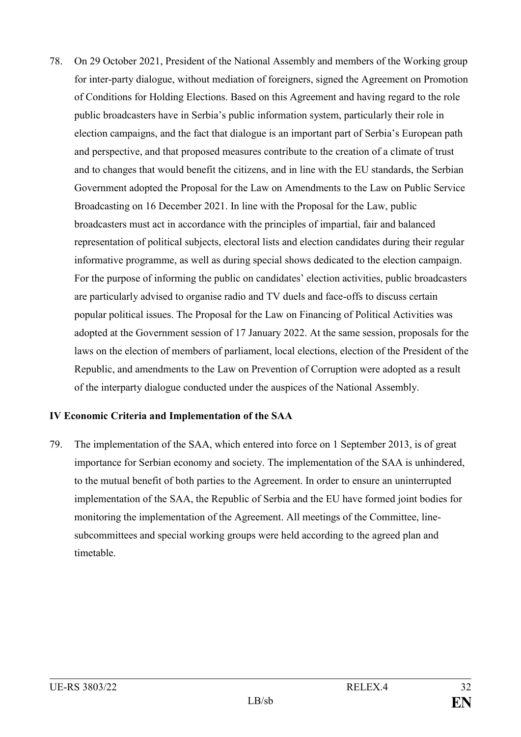78. On 29 October 2021, President of the National Assembly and members of the Working group for inter-party dialogue, without mediation of foreigners, signed the Agreement on Promotion of Conditions for Holding Elections. Based on this Agreement and having regard to the role public broadcasters have in Serbia's public information system, particularly their role in election campaigns, and the fact that dialogue is an important part of Serbia's European path and perspective, and that proposed measures contribute to the creation of a climate of trust and to changes that would benefit the citizens, and in line with the EU standards, the Serbian Government adopted the Proposal for the Law on Amendments to the Law on Public Service Broadcasting on 16 December 2021. In line with the Proposal for the Law, public broadcasters must act in accordance with the principles of impartial, fair and balanced representation of political subjects, electoral lists and election candidates during their regular informative programme, as well as during special shows dedicated to the election campaign. For the purpose of informing the public on candidates' election activities, public broadcasters are particularly advised to organise radio and TV duels and face-offs to discuss certain popular political issues. The Proposal for the Law on Financing of Political Activities was adopted at the Government session of 17 January 2022. At the same session, proposals for the laws on the election of members of parliament, local elections, election of the President of the Republic, and amendments to the Law on Prevention of Corruption were adopted as a result of the interparty dialogue conducted under the auspices of the National Assembly.

# **IV Economic Criteria and Implementation of the SAA**

79. The implementation of the SAA, which entered into force on 1 September 2013, is of great importance for Serbian economy and society. The implementation of the SAA is unhindered, to the mutual benefit of both parties to the Agreement. In order to ensure an uninterrupted implementation of the SAA, the Republic of Serbia and the EU have formed joint bodies for monitoring the implementation of the Agreement. All meetings of the Committee, linesubcommittees and special working groups were held according to the agreed plan and timetable.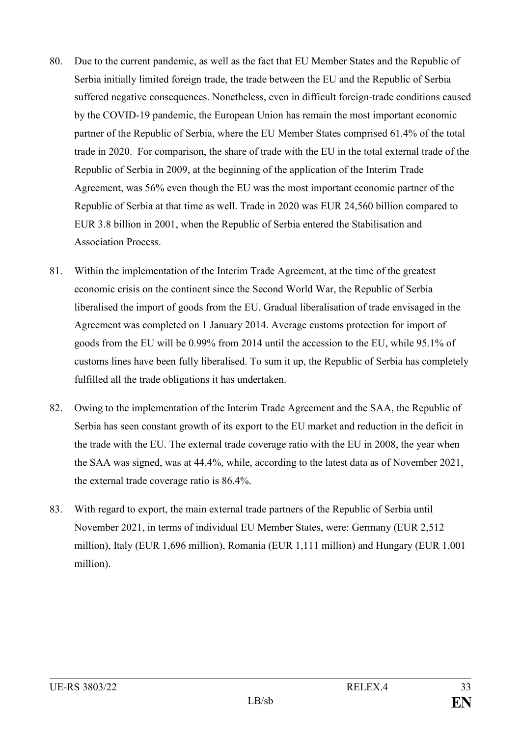- 80. Due to the current pandemic, as well as the fact that EU Member States and the Republic of Serbia initially limited foreign trade, the trade between the EU and the Republic of Serbia suffered negative consequences. Nonetheless, even in difficult foreign-trade conditions caused by the COVID-19 pandemic, the European Union has remain the most important economic partner of the Republic of Serbia, where the EU Member States comprised 61.4% of the total trade in 2020. For comparison, the share of trade with the EU in the total external trade of the Republic of Serbia in 2009, at the beginning of the application of the Interim Trade Agreement, was 56% even though the EU was the most important economic partner of the Republic of Serbia at that time as well. Trade in 2020 was EUR 24,560 billion compared to EUR 3.8 billion in 2001, when the Republic of Serbia entered the Stabilisation and Association Process.
- 81. Within the implementation of the Interim Trade Agreement, at the time of the greatest economic crisis on the continent since the Second World War, the Republic of Serbia liberalised the import of goods from the EU. Gradual liberalisation of trade envisaged in the Agreement was completed on 1 January 2014. Average customs protection for import of goods from the EU will be 0.99% from 2014 until the accession to the EU, while 95.1% of customs lines have been fully liberalised. To sum it up, the Republic of Serbia has completely fulfilled all the trade obligations it has undertaken.
- 82. Owing to the implementation of the Interim Trade Agreement and the SAA, the Republic of Serbia has seen constant growth of its export to the EU market and reduction in the deficit in the trade with the EU. The external trade coverage ratio with the EU in 2008, the year when the SAA was signed, was at 44.4%, while, according to the latest data as of November 2021, the external trade coverage ratio is 86.4%.
- 83. With regard to export, the main external trade partners of the Republic of Serbia until November 2021, in terms of individual EU Member States, were: Germany (EUR 2,512 million), Italy (EUR 1,696 million), Romania (EUR 1,111 million) and Hungary (EUR 1,001 million).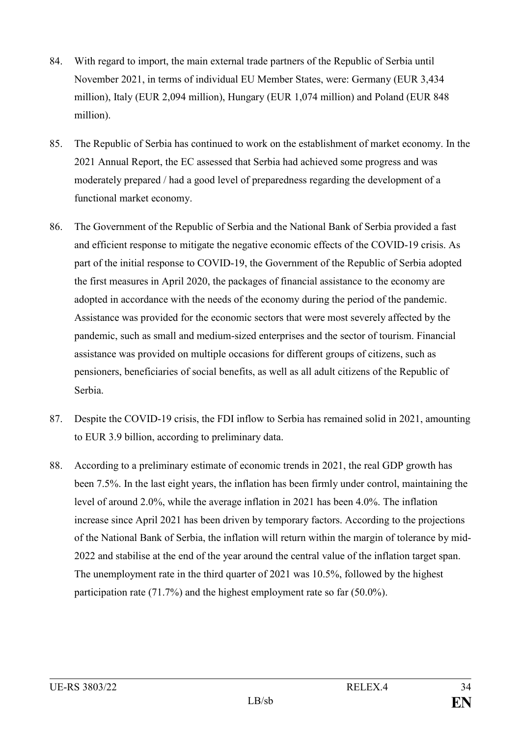- 84. With regard to import, the main external trade partners of the Republic of Serbia until November 2021, in terms of individual EU Member States, were: Germany (EUR 3,434 million), Italy (EUR 2,094 million), Hungary (EUR 1,074 million) and Poland (EUR 848 million).
- 85. The Republic of Serbia has continued to work on the establishment of market economy. In the 2021 Annual Report, the EC assessed that Serbia had achieved some progress and was moderately prepared / had a good level of preparedness regarding the development of a functional market economy.
- 86. The Government of the Republic of Serbia and the National Bank of Serbia provided a fast and efficient response to mitigate the negative economic effects of the COVID-19 crisis. As part of the initial response to COVID-19, the Government of the Republic of Serbia adopted the first measures in April 2020, the packages of financial assistance to the economy are adopted in accordance with the needs of the economy during the period of the pandemic. Assistance was provided for the economic sectors that were most severely affected by the pandemic, such as small and medium-sized enterprises and the sector of tourism. Financial assistance was provided on multiple occasions for different groups of citizens, such as pensioners, beneficiaries of social benefits, as well as all adult citizens of the Republic of Serbia.
- 87. Despite the COVID-19 crisis, the FDI inflow to Serbia has remained solid in 2021, amounting to EUR 3.9 billion, according to preliminary data.
- 88. According to a preliminary estimate of economic trends in 2021, the real GDP growth has been 7.5%. In the last eight years, the inflation has been firmly under control, maintaining the level of around 2.0%, while the average inflation in 2021 has been 4.0%. The inflation increase since April 2021 has been driven by temporary factors. According to the projections of the National Bank of Serbia, the inflation will return within the margin of tolerance by mid-2022 and stabilise at the end of the year around the central value of the inflation target span. The unemployment rate in the third quarter of 2021 was 10.5%, followed by the highest participation rate (71.7%) and the highest employment rate so far (50.0%).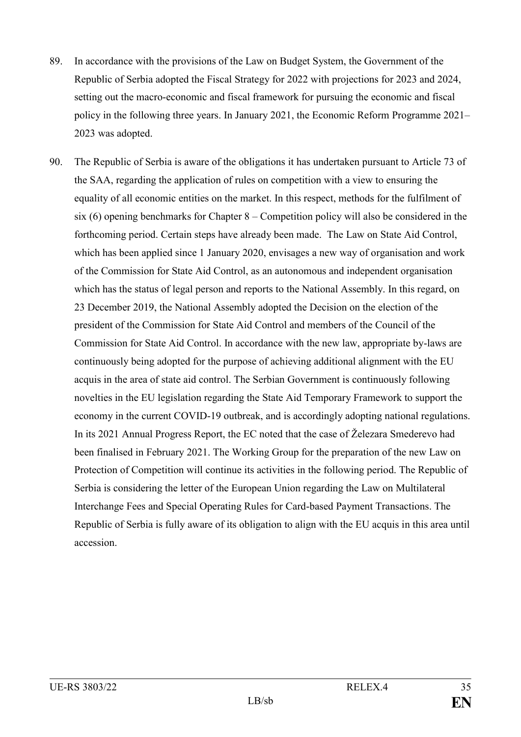- 89. In accordance with the provisions of the Law on Budget System, the Government of the Republic of Serbia adopted the Fiscal Strategy for 2022 with projections for 2023 and 2024, setting out the macro-economic and fiscal framework for pursuing the economic and fiscal policy in the following three years. In January 2021, the Economic Reform Programme 2021– 2023 was adopted.
- 90. The Republic of Serbia is aware of the obligations it has undertaken pursuant to Article 73 of the SAA, regarding the application of rules on competition with a view to ensuring the equality of all economic entities on the market. In this respect, methods for the fulfilment of six (6) opening benchmarks for Chapter 8 – Competition policy will also be considered in the forthcoming period. Certain steps have already been made. The Law on State Aid Control, which has been applied since 1 January 2020, envisages a new way of organisation and work of the Commission for State Aid Control, as an autonomous and independent organisation which has the status of legal person and reports to the National Assembly. In this regard, on 23 December 2019, the National Assembly adopted the Decision on the election of the president of the Commission for State Aid Control and members of the Council of the Commission for State Aid Control. In accordance with the new law, appropriate by-laws are continuously being adopted for the purpose of achieving additional alignment with the EU acquis in the area of state aid control. The Serbian Government is continuously following novelties in the EU legislation regarding the State Aid Temporary Framework to support the economy in the current COVID-19 outbreak, and is accordingly adopting national regulations. In its 2021 Annual Progress Report, the EC noted that the case of Železara Smederevo had been finalised in February 2021. The Working Group for the preparation of the new Law on Protection of Competition will continue its activities in the following period. The Republic of Serbia is considering the letter of the European Union regarding the Law on Multilateral Interchange Fees and Special Operating Rules for Card-based Payment Transactions. The Republic of Serbia is fully aware of its obligation to align with the EU acquis in this area until accession.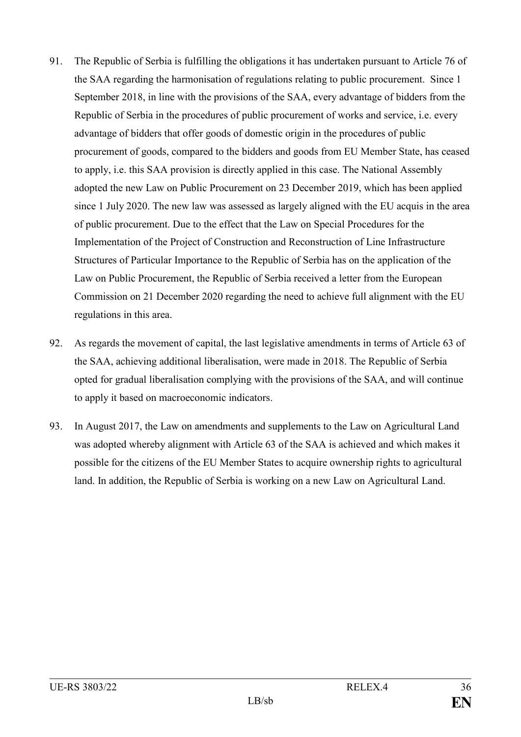- 91. The Republic of Serbia is fulfilling the obligations it has undertaken pursuant to Article 76 of the SAA regarding the harmonisation of regulations relating to public procurement. Since 1 September 2018, in line with the provisions of the SAA, every advantage of bidders from the Republic of Serbia in the procedures of public procurement of works and service, i.e. every advantage of bidders that offer goods of domestic origin in the procedures of public procurement of goods, compared to the bidders and goods from EU Member State, has ceased to apply, i.e. this SAA provision is directly applied in this case. The National Assembly adopted the new Law on Public Procurement on 23 December 2019, which has been applied since 1 July 2020. The new law was assessed as largely aligned with the EU acquis in the area of public procurement. Due to the effect that the Law on Special Procedures for the Implementation of the Project of Construction and Reconstruction of Line Infrastructure Structures of Particular Importance to the Republic of Serbia has on the application of the Law on Public Procurement, the Republic of Serbia received a letter from the European Commission on 21 December 2020 regarding the need to achieve full alignment with the EU regulations in this area.
- 92. As regards the movement of capital, the last legislative amendments in terms of Article 63 of the SAA, achieving additional liberalisation, were made in 2018. The Republic of Serbia opted for gradual liberalisation complying with the provisions of the SAA, and will continue to apply it based on macroeconomic indicators.
- 93. In August 2017, the Law on amendments and supplements to the Law on Agricultural Land was adopted whereby alignment with Article 63 of the SAA is achieved and which makes it possible for the citizens of the EU Member States to acquire ownership rights to agricultural land. In addition, the Republic of Serbia is working on a new Law on Agricultural Land.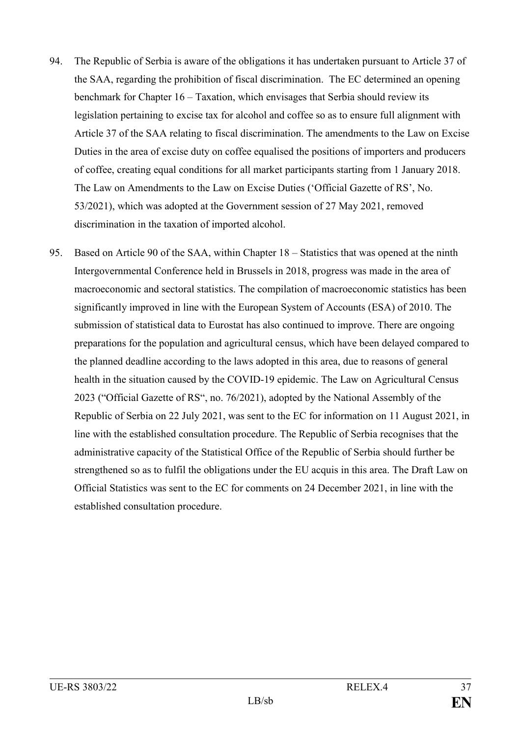- 94. The Republic of Serbia is aware of the obligations it has undertaken pursuant to Article 37 of the SAA, regarding the prohibition of fiscal discrimination. The EC determined an opening benchmark for Chapter 16 – Taxation, which envisages that Serbia should review its legislation pertaining to excise tax for alcohol and coffee so as to ensure full alignment with Article 37 of the SAA relating to fiscal discrimination. The amendments to the Law on Excise Duties in the area of excise duty on coffee equalised the positions of importers and producers of coffee, creating equal conditions for all market participants starting from 1 January 2018. The Law on Amendments to the Law on Excise Duties ('Official Gazette of RS', No. 53/2021), which was adopted at the Government session of 27 May 2021, removed discrimination in the taxation of imported alcohol.
- 95. Based on Article 90 of the SAA, within Chapter 18 Statistics that was opened at the ninth Intergovernmental Conference held in Brussels in 2018, progress was made in the area of macroeconomic and sectoral statistics. The compilation of macroeconomic statistics has been significantly improved in line with the European System of Accounts (ESA) of 2010. The submission of statistical data to Eurostat has also continued to improve. There are ongoing preparations for the population and agricultural census, which have been delayed compared to the planned deadline according to the laws adopted in this area, due to reasons of general health in the situation caused by the COVID-19 epidemic. The Law on Agricultural Census 2023 ("Official Gazette of RS", no. 76/2021), adopted by the National Assembly of the Republic of Serbia on 22 July 2021, was sent to the EC for information on 11 August 2021, in line with the established consultation procedure. The Republic of Serbia recognises that the administrative capacity of the Statistical Office of the Republic of Serbia should further be strengthened so as to fulfil the obligations under the EU acquis in this area. The Draft Law on Official Statistics was sent to the EC for comments on 24 December 2021, in line with the established consultation procedure.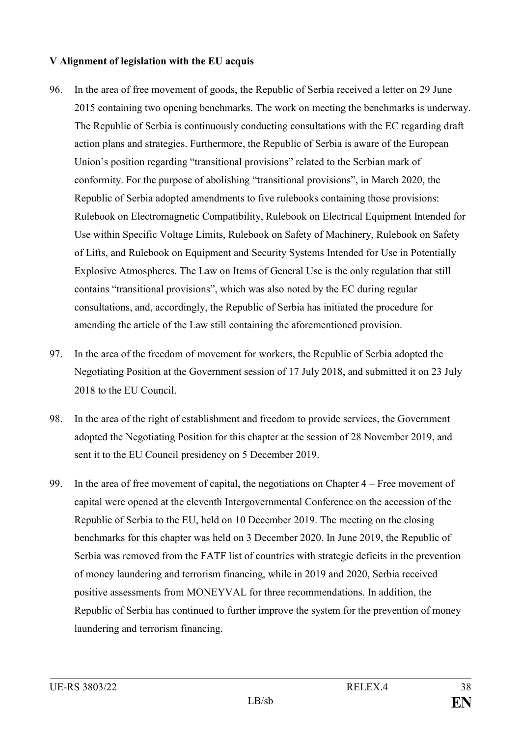# **V Alignment of legislation with the EU acquis**

- 96. In the area of free movement of goods, the Republic of Serbia received a letter on 29 June 2015 containing two opening benchmarks. The work on meeting the benchmarks is underway. The Republic of Serbia is continuously conducting consultations with the EC regarding draft action plans and strategies. Furthermore, the Republic of Serbia is aware of the European Union's position regarding "transitional provisions" related to the Serbian mark of conformity. For the purpose of abolishing "transitional provisions", in March 2020, the Republic of Serbia adopted amendments to five rulebooks containing those provisions: Rulebook on Electromagnetic Compatibility, Rulebook on Electrical Equipment Intended for Use within Specific Voltage Limits, Rulebook on Safety of Machinery, Rulebook on Safety of Lifts, and Rulebook on Equipment and Security Systems Intended for Use in Potentially Explosive Atmospheres. The Law on Items of General Use is the only regulation that still contains "transitional provisions", which was also noted by the EC during regular consultations, and, accordingly, the Republic of Serbia has initiated the procedure for amending the article of the Law still containing the aforementioned provision.
- 97. In the area of the freedom of movement for workers, the Republic of Serbia adopted the Negotiating Position at the Government session of 17 July 2018, and submitted it on 23 July 2018 to the EU Council.
- 98. In the area of the right of establishment and freedom to provide services, the Government adopted the Negotiating Position for this chapter at the session of 28 November 2019, and sent it to the EU Council presidency on 5 December 2019.
- 99. In the area of free movement of capital, the negotiations on Chapter 4 Free movement of capital were opened at the eleventh Intergovernmental Conference on the accession of the Republic of Serbia to the EU, held on 10 December 2019. The meeting on the closing benchmarks for this chapter was held on 3 December 2020. In June 2019, the Republic of Serbia was removed from the FATF list of countries with strategic deficits in the prevention of money laundering and terrorism financing, while in 2019 and 2020, Serbia received positive assessments from MONEYVAL for three recommendations. In addition, the Republic of Serbia has continued to further improve the system for the prevention of money laundering and terrorism financing.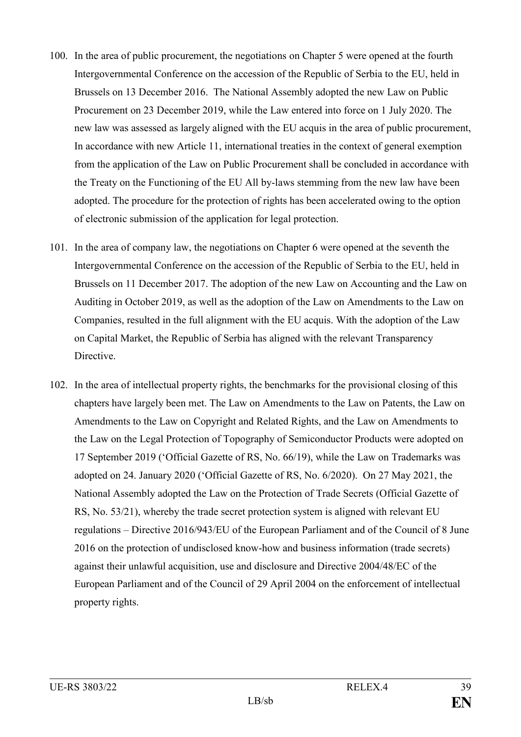- 100. In the area of public procurement, the negotiations on Chapter 5 were opened at the fourth Intergovernmental Conference on the accession of the Republic of Serbia to the EU, held in Brussels on 13 December 2016. The National Assembly adopted the new Law on Public Procurement on 23 December 2019, while the Law entered into force on 1 July 2020. The new law was assessed as largely aligned with the EU acquis in the area of public procurement, In accordance with new Article 11, international treaties in the context of general exemption from the application of the Law on Public Procurement shall be concluded in accordance with the Treaty on the Functioning of the EU All by-laws stemming from the new law have been adopted. The procedure for the protection of rights has been accelerated owing to the option of electronic submission of the application for legal protection.
- 101. In the area of company law, the negotiations on Chapter 6 were opened at the seventh the Intergovernmental Conference on the accession of the Republic of Serbia to the EU, held in Brussels on 11 December 2017. The adoption of the new Law on Accounting and the Law on Auditing in October 2019, as well as the adoption of the Law on Amendments to the Law on Companies, resulted in the full alignment with the EU acquis. With the adoption of the Law on Capital Market, the Republic of Serbia has aligned with the relevant Transparency Directive.
- 102. In the area of intellectual property rights, the benchmarks for the provisional closing of this chapters have largely been met. The Law on Amendments to the Law on Patents, the Law on Amendments to the Law on Copyright and Related Rights, and the Law on Amendments to the Law on the Legal Protection of Topography of Semiconductor Products were adopted on 17 September 2019 ('Official Gazette of RS, No. 66/19), while the Law on Trademarks was adopted on 24. January 2020 ('Official Gazette of RS, No. 6/2020). On 27 May 2021, the National Assembly adopted the Law on the Protection of Trade Secrets (Official Gazette of RS, No. 53/21), whereby the trade secret protection system is aligned with relevant EU regulations – Directive 2016/943/EU of the European Parliament and of the Council of 8 June 2016 on the protection of undisclosed know-how and business information (trade secrets) against their unlawful acquisition, use and disclosure and Directive 2004/48/EC of the European Parliament and of the Council of 29 April 2004 on the enforcement of intellectual property rights.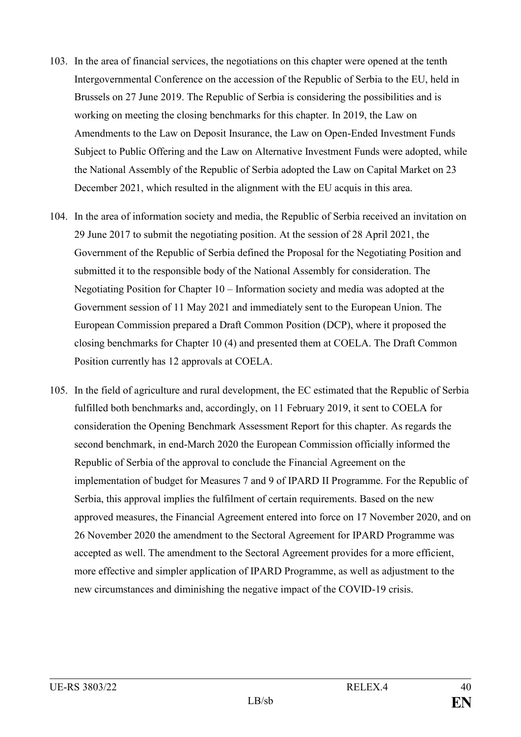- 103. In the area of financial services, the negotiations on this chapter were opened at the tenth Intergovernmental Conference on the accession of the Republic of Serbia to the EU, held in Brussels on 27 June 2019. The Republic of Serbia is considering the possibilities and is working on meeting the closing benchmarks for this chapter. In 2019, the Law on Amendments to the Law on Deposit Insurance, the Law on Open-Ended Investment Funds Subject to Public Offering and the Law on Alternative Investment Funds were adopted, while the National Assembly of the Republic of Serbia adopted the Law on Capital Market on 23 December 2021, which resulted in the alignment with the EU acquis in this area.
- 104. In the area of information society and media, the Republic of Serbia received an invitation on 29 June 2017 to submit the negotiating position. At the session of 28 April 2021, the Government of the Republic of Serbia defined the Proposal for the Negotiating Position and submitted it to the responsible body of the National Assembly for consideration. The Negotiating Position for Chapter 10 – Information society and media was adopted at the Government session of 11 May 2021 and immediately sent to the European Union. The European Commission prepared a Draft Common Position (DCP), where it proposed the closing benchmarks for Chapter 10 (4) and presented them at COELA. The Draft Common Position currently has 12 approvals at COELA.
- 105. In the field of agriculture and rural development, the EC estimated that the Republic of Serbia fulfilled both benchmarks and, accordingly, on 11 February 2019, it sent to COELA for consideration the Opening Benchmark Assessment Report for this chapter. As regards the second benchmark, in end-March 2020 the European Commission officially informed the Republic of Serbia of the approval to conclude the Financial Agreement on the implementation of budget for Measures 7 and 9 of IPARD II Programme. For the Republic of Serbia, this approval implies the fulfilment of certain requirements. Based on the new approved measures, the Financial Agreement entered into force on 17 November 2020, and on 26 November 2020 the amendment to the Sectoral Agreement for IPARD Programme was accepted as well. The amendment to the Sectoral Agreement provides for a more efficient, more effective and simpler application of IPARD Programme, as well as adjustment to the new circumstances and diminishing the negative impact of the COVID-19 crisis.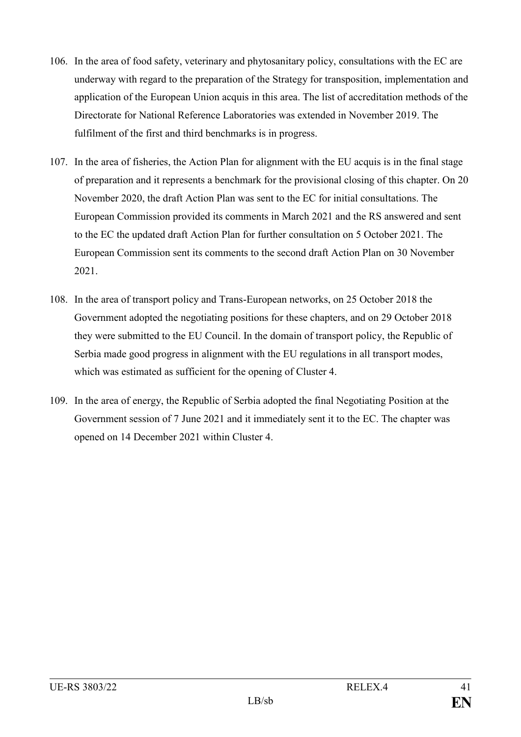- 106. In the area of food safety, veterinary and phytosanitary policy, consultations with the EC are underway with regard to the preparation of the Strategy for transposition, implementation and application of the European Union acquis in this area. The list of accreditation methods of the Directorate for National Reference Laboratories was extended in November 2019. The fulfilment of the first and third benchmarks is in progress.
- 107. In the area of fisheries, the Action Plan for alignment with the EU acquis is in the final stage of preparation and it represents a benchmark for the provisional closing of this chapter. On 20 November 2020, the draft Action Plan was sent to the EC for initial consultations. The European Commission provided its comments in March 2021 and the RS answered and sent to the EC the updated draft Action Plan for further consultation on 5 October 2021. The European Commission sent its comments to the second draft Action Plan on 30 November 2021.
- 108. In the area of transport policy and Trans-European networks, on 25 October 2018 the Government adopted the negotiating positions for these chapters, and on 29 October 2018 they were submitted to the EU Council. In the domain of transport policy, the Republic of Serbia made good progress in alignment with the EU regulations in all transport modes, which was estimated as sufficient for the opening of Cluster 4.
- 109. In the area of energy, the Republic of Serbia adopted the final Negotiating Position at the Government session of 7 June 2021 and it immediately sent it to the EC. The chapter was opened on 14 December 2021 within Cluster 4.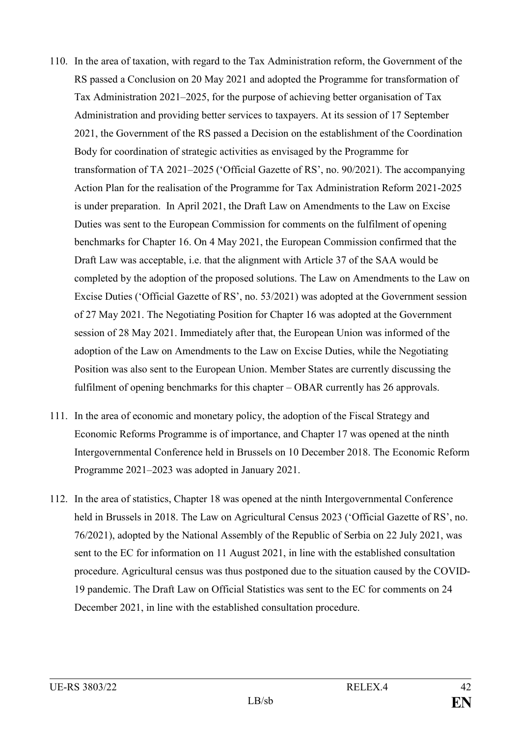- 110. In the area of taxation, with regard to the Tax Administration reform, the Government of the RS passed a Conclusion on 20 May 2021 and adopted the Programme for transformation of Tax Administration 2021–2025, for the purpose of achieving better organisation of Tax Administration and providing better services to taxpayers. At its session of 17 September 2021, the Government of the RS passed a Decision on the establishment of the Coordination Body for coordination of strategic activities as envisaged by the Programme for transformation of TA 2021–2025 ('Official Gazette of RS', no. 90/2021). The accompanying Action Plan for the realisation of the Programme for Tax Administration Reform 2021-2025 is under preparation. In April 2021, the Draft Law on Amendments to the Law on Excise Duties was sent to the European Commission for comments on the fulfilment of opening benchmarks for Chapter 16. On 4 May 2021, the European Commission confirmed that the Draft Law was acceptable, i.e. that the alignment with Article 37 of the SAA would be completed by the adoption of the proposed solutions. The Law on Amendments to the Law on Excise Duties ('Official Gazette of RS', no. 53/2021) was adopted at the Government session of 27 May 2021. The Negotiating Position for Chapter 16 was adopted at the Government session of 28 May 2021. Immediately after that, the European Union was informed of the adoption of the Law on Amendments to the Law on Excise Duties, while the Negotiating Position was also sent to the European Union. Member States are currently discussing the fulfilment of opening benchmarks for this chapter – OBAR currently has 26 approvals.
- 111. In the area of economic and monetary policy, the adoption of the Fiscal Strategy and Economic Reforms Programme is of importance, and Chapter 17 was opened at the ninth Intergovernmental Conference held in Brussels on 10 December 2018. The Economic Reform Programme 2021–2023 was adopted in January 2021.
- 112. In the area of statistics, Chapter 18 was opened at the ninth Intergovernmental Conference held in Brussels in 2018. The Law on Agricultural Census 2023 ('Official Gazette of RS', no. 76/2021), adopted by the National Assembly of the Republic of Serbia on 22 July 2021, was sent to the EC for information on 11 August 2021, in line with the established consultation procedure. Agricultural census was thus postponed due to the situation caused by the COVID-19 pandemic. The Draft Law on Official Statistics was sent to the EC for comments on 24 December 2021, in line with the established consultation procedure.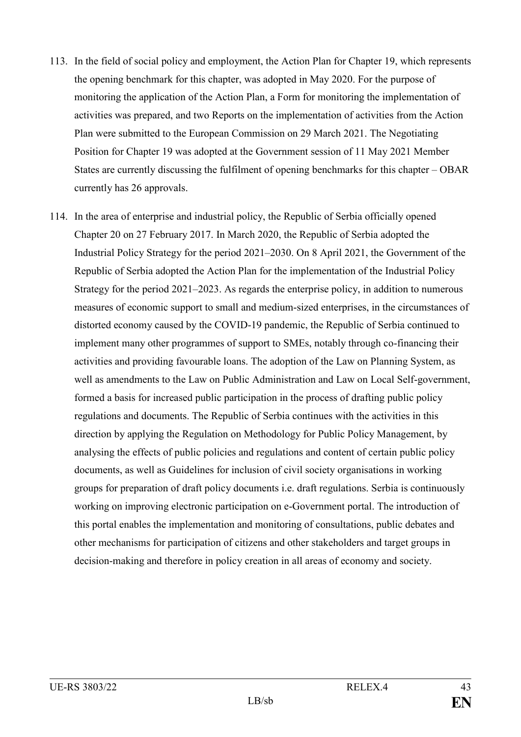- 113. In the field of social policy and employment, the Action Plan for Chapter 19, which represents the opening benchmark for this chapter, was adopted in May 2020. For the purpose of monitoring the application of the Action Plan, a Form for monitoring the implementation of activities was prepared, and two Reports on the implementation of activities from the Action Plan were submitted to the European Commission on 29 March 2021. The Negotiating Position for Chapter 19 was adopted at the Government session of 11 May 2021 Member States are currently discussing the fulfilment of opening benchmarks for this chapter – OBAR currently has 26 approvals.
- 114. In the area of enterprise and industrial policy, the Republic of Serbia officially opened Chapter 20 on 27 February 2017. In March 2020, the Republic of Serbia adopted the Industrial Policy Strategy for the period 2021–2030. On 8 April 2021, the Government of the Republic of Serbia adopted the Action Plan for the implementation of the Industrial Policy Strategy for the period 2021–2023. As regards the enterprise policy, in addition to numerous measures of economic support to small and medium-sized enterprises, in the circumstances of distorted economy caused by the COVID-19 pandemic, the Republic of Serbia continued to implement many other programmes of support to SMEs, notably through co-financing their activities and providing favourable loans. The adoption of the Law on Planning System, as well as amendments to the Law on Public Administration and Law on Local Self-government, formed a basis for increased public participation in the process of drafting public policy regulations and documents. The Republic of Serbia continues with the activities in this direction by applying the Regulation on Methodology for Public Policy Management, by analysing the effects of public policies and regulations and content of certain public policy documents, as well as Guidelines for inclusion of civil society organisations in working groups for preparation of draft policy documents i.e. draft regulations. Serbia is continuously working on improving electronic participation on e-Government portal. The introduction of this portal enables the implementation and monitoring of consultations, public debates and other mechanisms for participation of citizens and other stakeholders and target groups in decision-making and therefore in policy creation in all areas of economy and society.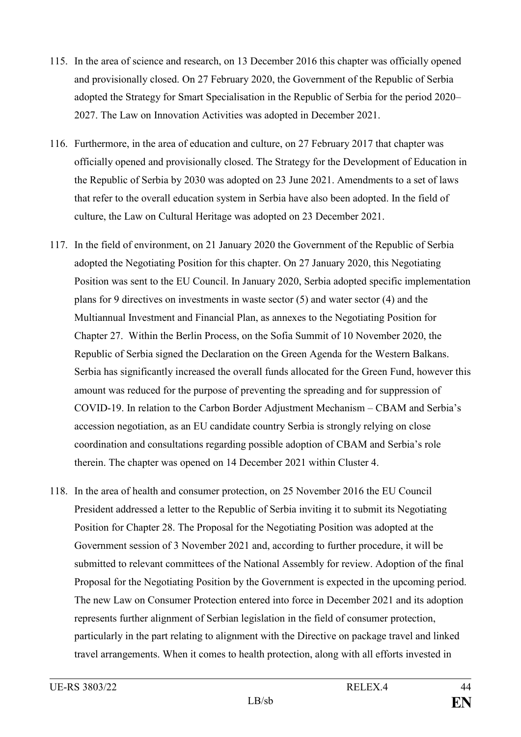- 115. In the area of science and research, on 13 December 2016 this chapter was officially opened and provisionally closed. On 27 February 2020, the Government of the Republic of Serbia adopted the Strategy for Smart Specialisation in the Republic of Serbia for the period 2020– 2027. The Law on Innovation Activities was adopted in December 2021.
- 116. Furthermore, in the area of education and culture, on 27 February 2017 that chapter was officially opened and provisionally closed. The Strategy for the Development of Education in the Republic of Serbia by 2030 was adopted on 23 June 2021. Amendments to a set of laws that refer to the overall education system in Serbia have also been adopted. In the field of culture, the Law on Cultural Heritage was adopted on 23 December 2021.
- 117. In the field of environment, on 21 January 2020 the Government of the Republic of Serbia adopted the Negotiating Position for this chapter. On 27 January 2020, this Negotiating Position was sent to the EU Council. In January 2020, Serbia adopted specific implementation plans for 9 directives on investments in waste sector (5) and water sector (4) and the Multiannual Investment and Financial Plan, as annexes to the Negotiating Position for Chapter 27. Within the Berlin Process, on the Sofia Summit of 10 November 2020, the Republic of Serbia signed the Declaration on the Green Agenda for the Western Balkans. Serbia has significantly increased the overall funds allocated for the Green Fund, however this amount was reduced for the purpose of preventing the spreading and for suppression of COVID-19. In relation to the Carbon Border Adjustment Mechanism – CBAM and Serbia's accession negotiation, as an EU candidate country Serbia is strongly relying on close coordination and consultations regarding possible adoption of CBAM and Serbia's role therein. The chapter was opened on 14 December 2021 within Cluster 4.
- 118. In the area of health and consumer protection, on 25 November 2016 the EU Council President addressed a letter to the Republic of Serbia inviting it to submit its Negotiating Position for Chapter 28. The Proposal for the Negotiating Position was adopted at the Government session of 3 November 2021 and, according to further procedure, it will be submitted to relevant committees of the National Assembly for review. Adoption of the final Proposal for the Negotiating Position by the Government is expected in the upcoming period. The new Law on Consumer Protection entered into force in December 2021 and its adoption represents further alignment of Serbian legislation in the field of consumer protection, particularly in the part relating to alignment with the Directive on package travel and linked travel arrangements. When it comes to health protection, along with all efforts invested in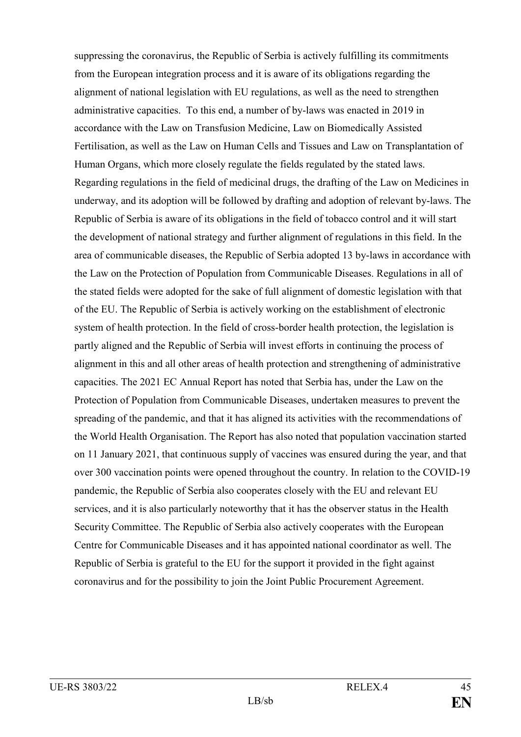suppressing the coronavirus, the Republic of Serbia is actively fulfilling its commitments from the European integration process and it is aware of its obligations regarding the alignment of national legislation with EU regulations, as well as the need to strengthen administrative capacities. To this end, a number of by-laws was enacted in 2019 in accordance with the Law on Transfusion Medicine, Law on Biomedically Assisted Fertilisation, as well as the Law on Human Cells and Tissues and Law on Transplantation of Human Organs, which more closely regulate the fields regulated by the stated laws. Regarding regulations in the field of medicinal drugs, the drafting of the Law on Medicines in underway, and its adoption will be followed by drafting and adoption of relevant by-laws. The Republic of Serbia is aware of its obligations in the field of tobacco control and it will start the development of national strategy and further alignment of regulations in this field. In the area of communicable diseases, the Republic of Serbia adopted 13 by-laws in accordance with the Law on the Protection of Population from Communicable Diseases. Regulations in all of the stated fields were adopted for the sake of full alignment of domestic legislation with that of the EU. The Republic of Serbia is actively working on the establishment of electronic system of health protection. In the field of cross-border health protection, the legislation is partly aligned and the Republic of Serbia will invest efforts in continuing the process of alignment in this and all other areas of health protection and strengthening of administrative capacities. The 2021 EC Annual Report has noted that Serbia has, under the Law on the Protection of Population from Communicable Diseases, undertaken measures to prevent the spreading of the pandemic, and that it has aligned its activities with the recommendations of the World Health Organisation. The Report has also noted that population vaccination started on 11 January 2021, that continuous supply of vaccines was ensured during the year, and that over 300 vaccination points were opened throughout the country. In relation to the COVID-19 pandemic, the Republic of Serbia also cooperates closely with the EU and relevant EU services, and it is also particularly noteworthy that it has the observer status in the Health Security Committee. The Republic of Serbia also actively cooperates with the European Centre for Communicable Diseases and it has appointed national coordinator as well. The Republic of Serbia is grateful to the EU for the support it provided in the fight against coronavirus and for the possibility to join the Joint Public Procurement Agreement.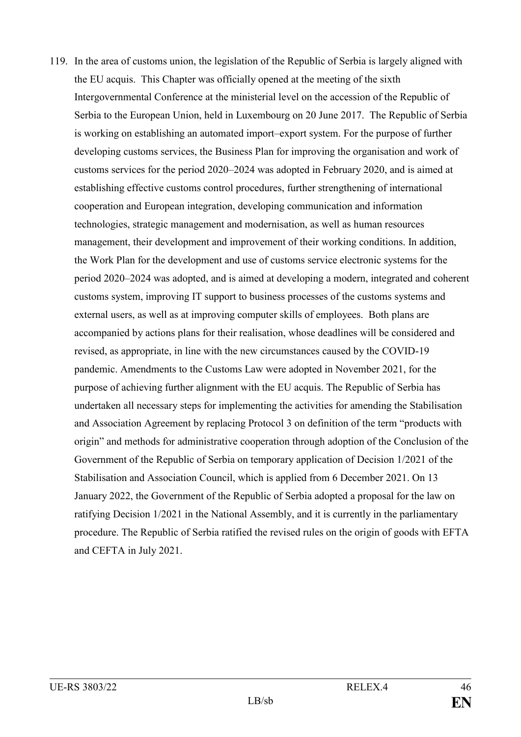119. In the area of customs union, the legislation of the Republic of Serbia is largely aligned with the EU acquis. This Chapter was officially opened at the meeting of the sixth Intergovernmental Conference at the ministerial level on the accession of the Republic of Serbia to the European Union, held in Luxembourg on 20 June 2017. The Republic of Serbia is working on establishing an automated import–export system. For the purpose of further developing customs services, the Business Plan for improving the organisation and work of customs services for the period 2020–2024 was adopted in February 2020, and is aimed at establishing effective customs control procedures, further strengthening of international cooperation and European integration, developing communication and information technologies, strategic management and modernisation, as well as human resources management, their development and improvement of their working conditions. In addition, the Work Plan for the development and use of customs service electronic systems for the period 2020–2024 was adopted, and is aimed at developing a modern, integrated and coherent customs system, improving IT support to business processes of the customs systems and external users, as well as at improving computer skills of employees. Both plans are accompanied by actions plans for their realisation, whose deadlines will be considered and revised, as appropriate, in line with the new circumstances caused by the COVID-19 pandemic. Amendments to the Customs Law were adopted in November 2021, for the purpose of achieving further alignment with the EU acquis. The Republic of Serbia has undertaken all necessary steps for implementing the activities for amending the Stabilisation and Association Agreement by replacing Protocol 3 on definition of the term "products with origin" and methods for administrative cooperation through adoption of the Conclusion of the Government of the Republic of Serbia on temporary application of Decision 1/2021 of the Stabilisation and Association Council, which is applied from 6 December 2021. On 13 January 2022, the Government of the Republic of Serbia adopted a proposal for the law on ratifying Decision 1/2021 in the National Assembly, and it is currently in the parliamentary procedure. The Republic of Serbia ratified the revised rules on the origin of goods with EFTA and CEFTA in July 2021.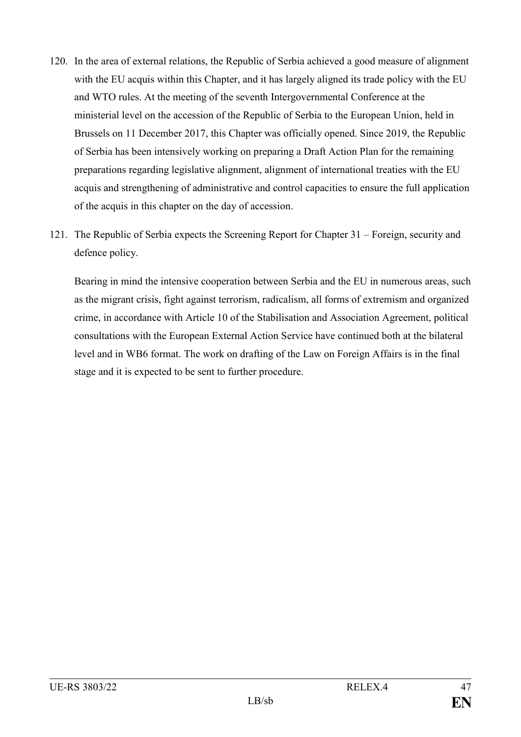- 120. In the area of external relations, the Republic of Serbia achieved a good measure of alignment with the EU acquis within this Chapter, and it has largely aligned its trade policy with the EU and WTO rules. At the meeting of the seventh Intergovernmental Conference at the ministerial level on the accession of the Republic of Serbia to the European Union, held in Brussels on 11 December 2017, this Chapter was officially opened. Since 2019, the Republic of Serbia has been intensively working on preparing a Draft Action Plan for the remaining preparations regarding legislative alignment, alignment of international treaties with the EU acquis and strengthening of administrative and control capacities to ensure the full application of the acquis in this chapter on the day of accession.
- 121. The Republic of Serbia expects the Screening Report for Chapter 31 Foreign, security and defence policy.

Bearing in mind the intensive cooperation between Serbia and the EU in numerous areas, such as the migrant crisis, fight against terrorism, radicalism, all forms of extremism and organized crime, in accordance with Article 10 of the Stabilisation and Association Agreement, political consultations with the European External Action Service have continued both at the bilateral level and in WB6 format. The work on drafting of the Law on Foreign Affairs is in the final stage and it is expected to be sent to further procedure.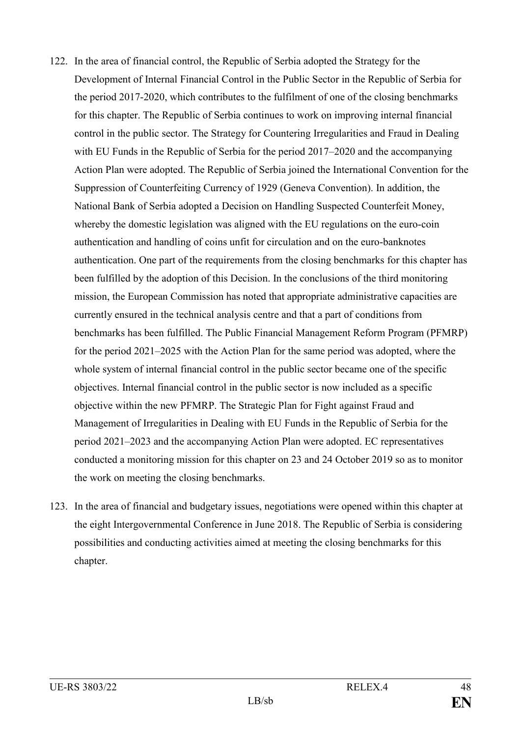- 122. In the area of financial control, the Republic of Serbia adopted the Strategy for the Development of Internal Financial Control in the Public Sector in the Republic of Serbia for the period 2017-2020, which contributes to the fulfilment of one of the closing benchmarks for this chapter. The Republic of Serbia continues to work on improving internal financial control in the public sector. The Strategy for Countering Irregularities and Fraud in Dealing with EU Funds in the Republic of Serbia for the period 2017–2020 and the accompanying Action Plan were adopted. The Republic of Serbia joined the International Convention for the Suppression of Counterfeiting Currency of 1929 (Geneva Convention). In addition, the National Bank of Serbia adopted a Decision on Handling Suspected Counterfeit Money, whereby the domestic legislation was aligned with the EU regulations on the euro-coin authentication and handling of coins unfit for circulation and on the euro-banknotes authentication. One part of the requirements from the closing benchmarks for this chapter has been fulfilled by the adoption of this Decision. In the conclusions of the third monitoring mission, the European Commission has noted that appropriate administrative capacities are currently ensured in the technical analysis centre and that a part of conditions from benchmarks has been fulfilled. The Public Financial Management Reform Program (PFMRP) for the period 2021–2025 with the Action Plan for the same period was adopted, where the whole system of internal financial control in the public sector became one of the specific objectives. Internal financial control in the public sector is now included as a specific objective within the new PFMRP. The Strategic Plan for Fight against Fraud and Management of Irregularities in Dealing with EU Funds in the Republic of Serbia for the period 2021–2023 and the accompanying Action Plan were adopted. EC representatives conducted a monitoring mission for this chapter on 23 and 24 October 2019 so as to monitor the work on meeting the closing benchmarks.
- 123. In the area of financial and budgetary issues, negotiations were opened within this chapter at the eight Intergovernmental Conference in June 2018. The Republic of Serbia is considering possibilities and conducting activities aimed at meeting the closing benchmarks for this chapter.